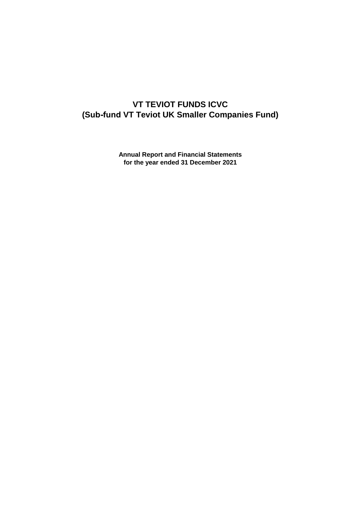# **VT TEVIOT FUNDS ICVC (Sub-fund VT Teviot UK Smaller Companies Fund)**

**Annual Report and Financial Statements for the year ended 31 December 2021**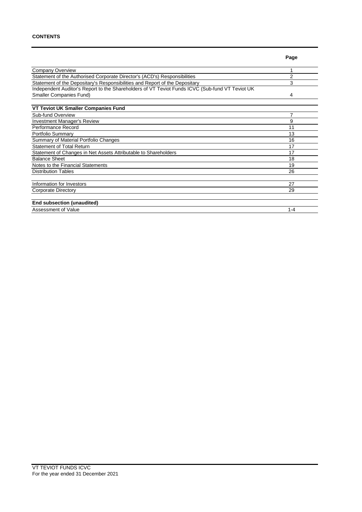**Page**

| Company Overview                                                                                |         |
|-------------------------------------------------------------------------------------------------|---------|
| Statement of the Authorised Corporate Director's (ACD's) Responsibilities                       | 2       |
| Statement of the Depositary's Responsibilities and Report of the Depositary                     | 3       |
| Independent Auditor's Report to the Shareholders of VT Teviot Funds ICVC (Sub-fund VT Teviot UK |         |
| Smaller Companies Fund)                                                                         | 4       |
| <b>VT Teviot UK Smaller Companies Fund</b>                                                      |         |
| Sub-fund Overview                                                                               |         |
| <b>Investment Manager's Review</b>                                                              | 9       |
| Performance Record                                                                              | 11      |
| Portfolio Summary                                                                               | 13      |
| Summary of Material Portfolio Changes                                                           | 16      |
| <b>Statement of Total Return</b>                                                                | 17      |
| Statement of Changes in Net Assets Attributable to Shareholders                                 | 17      |
| <b>Balance Sheet</b>                                                                            | 18      |
| Notes to the Financial Statements                                                               | 19      |
| <b>Distribution Tables</b>                                                                      | 26      |
| Information for Investors                                                                       | 27      |
| Corporate Directory                                                                             | 29      |
| End subsection (unaudited)                                                                      |         |
| Assessment of Value                                                                             | $1 - 4$ |
|                                                                                                 |         |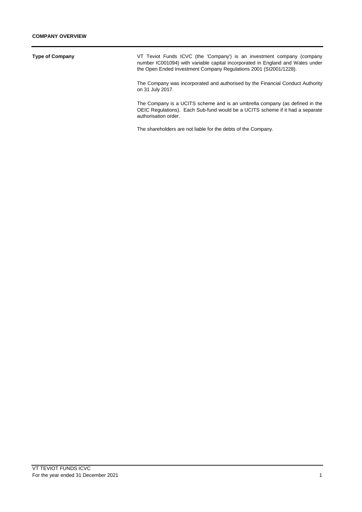## **Type of Company** VT Teviot Funds ICVC (the 'Company') is an investment company (company number IC001094) with variable capital incorporated in England and Wales under the Open Ended Investment Company Regulations 2001 (SI2001/1228). The Company was incorporated and authorised by the Financial Conduct Authority on 31 July 2017. The Company is a UCITS scheme and is an umbrella company (as defined in the OEIC Regulations). Each Sub-fund would be a UCITS scheme if it had a separate authorisation order.

The shareholders are not liable for the debts of the Company.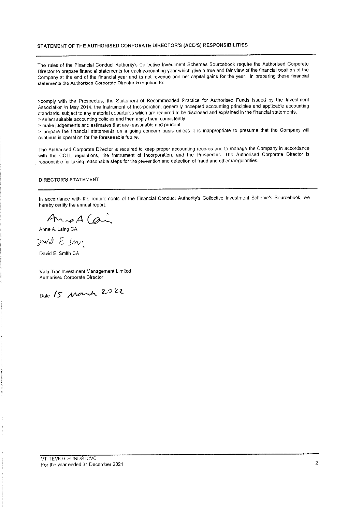## STATEMENT OF THE AUTHORISED CORPORATE DIRECTOR'S (ACD'S) RESPONSIBILITIES

The rules of the Financial Conduct Authority's Collective Investment Schemes Sourcebook require the Authorised Corporate Director to prepare financial statements for each accounting year which give a true and fair view of the financial position of the Company at the end of the financial year and its net revenue and net capital gains for the year. In preparing these financial statements the Authorised Corporate Director is required to:

>comply with the Prospectus, the Statement of Recommended Practice for Authorised Funds issued by the Investment Association in May 2014, the Instrument of Incorporation, generally accepted accounting principles and applicable accounting standards, subject to any material departures which are required to be disclosed and explained in the financial statements.

> select suitable accounting policies and then apply them consistently. > make judgements and estimates that are reasonable and prudent.

> prepare the financial statements on a going concern basis unless it is inappropriate to presume that the Company will continue in operation for the foreseeable future.

The Authorised Corporate Director is required to keep proper accounting records and to manage the Company in accordance with the COLL regulations, the instrument of Incorporation, and the Prospectus. The Authorised Corporate Director is responsible for taking reasonable steps for the prevention and detection of fraud and other irregularities.

#### **DIRECTOR'S STATEMENT**

In accordance with the requirements of the Financial Conduct Authority's Collective Investment Scheme's Sourcebook, we hereby certify the annual report.

And A Co

David E sm

David E. Smith CA

Valu-Trac Investment Management Limited Authorised Corporate Director

Date 15 March 2022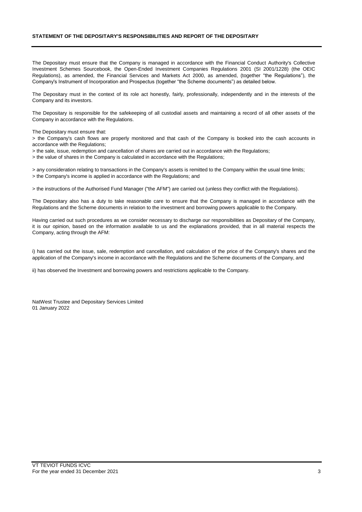## **STATEMENT OF THE DEPOSITARY'S RESPONSIBILITIES AND REPORT OF THE DEPOSITARY**

The Depositary must ensure that the Company is managed in accordance with the Financial Conduct Authority's Collective Investment Schemes Sourcebook, the Open-Ended Investment Companies Regulations 2001 (SI 2001/1228) (the OEIC Regulations), as amended, the Financial Services and Markets Act 2000, as amended, (together "the Regulations"), the Company's Instrument of Incorporation and Prospectus (together "the Scheme documents") as detailed below.

The Depositary must in the context of its role act honestly, fairly, professionally, independently and in the interests of the Company and its investors.

The Depositary is responsible for the safekeeping of all custodial assets and maintaining a record of all other assets of the Company in accordance with the Regulations.

The Depositary must ensure that:

> the Company's cash flows are properly monitored and that cash of the Company is booked into the cash accounts in accordance with the Regulations;

> the sale, issue, redemption and cancellation of shares are carried out in accordance with the Regulations;

> the value of shares in the Company is calculated in accordance with the Regulations;

> any consideration relating to transactions in the Company's assets is remitted to the Company within the usual time limits; > the Company's income is applied in accordance with the Regulations; and

> the instructions of the Authorised Fund Manager ("the AFM") are carried out (unless they conflict with the Regulations).

The Depositary also has a duty to take reasonable care to ensure that the Company is managed in accordance with the Regulations and the Scheme documents in relation to the investment and borrowing powers applicable to the Company.

Having carried out such procedures as we consider necessary to discharge our responsibilities as Depositary of the Company, it is our opinion, based on the information available to us and the explanations provided, that in all material respects the Company, acting through the AFM:

i) has carried out the issue, sale, redemption and cancellation, and calculation of the price of the Company's shares and the application of the Company's income in accordance with the Regulations and the Scheme documents of the Company, and

ii) has observed the Investment and borrowing powers and restrictions applicable to the Company.

NatWest Trustee and Depositary Services Limited 01 January 2022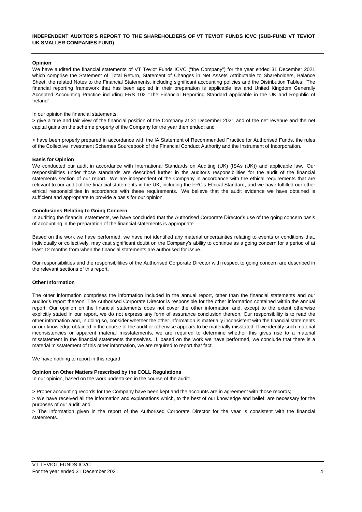### **INDEPENDENT AUDITOR'S REPORT TO THE SHAREHOLDERS OF VT TEVIOT FUNDS ICVC (SUB-FUND VT TEVIOT UK SMALLER COMPANIES FUND)**

### **Opinion**

We have audited the financial statements of VT Teviot Funds ICVC ("the Company") for the year ended 31 December 2021 which comprise the Statement of Total Return, Statement of Changes in Net Assets Attributable to Shareholders, Balance Sheet, the related Notes to the Financial Statements, including significant accounting policies and the Distribution Tables. The financial reporting framework that has been applied in their preparation is applicable law and United Kingdom Generally Accepted Accounting Practice including FRS 102 "The Financial Reporting Standard applicable in the UK and Republic of Ireland".

#### In our opinion the financial statements:

> give a true and fair view of the financial position of the Company at 31 December 2021 and of the net revenue and the net capital gains on the scheme property of the Company for the year then ended; and

> have been properly prepared in accordance with the IA Statement of Recommended Practice for Authorised Funds, the rules of the Collective Investment Schemes Sourcebook of the Financial Conduct Authority and the Instrument of Incorporation.

#### **Basis for Opinion**

We conducted our audit in accordance with International Standards on Auditing (UK) (ISAs (UK)) and applicable law. Our responsibilities under those standards are described further in the auditor's responsibilities for the audit of the financial statements section of our report. We are independent of the Company in accordance with the ethical requirements that are relevant to our audit of the financial statements in the UK, including the FRC's Ethical Standard, and we have fulfilled our other ethical responsibilities in accordance with these requirements. We believe that the audit evidence we have obtained is sufficient and appropriate to provide a basis for our opinion.

#### **Conclusions Relating to Going Concern**

In auditing the financial statements, we have concluded that the Authorised Corporate Director's use of the going concern basis of accounting in the preparation of the financial statements is appropriate.

Based on the work we have performed, we have not identified any material uncertainties relating to events or conditions that, individually or collectively, may cast significant doubt on the Company's ability to continue as a going concern for a period of at least 12 months from when the financial statements are authorised for issue.

Our responsibilities and the responsibilities of the Authorised Corporate Director with respect to going concern are described in the relevant sections of this report.

#### **Other Information**

The other information comprises the information included in the annual report, other than the financial statements and our auditor's report thereon. The Authorised Corporate Director is responsible for the other information contained within the annual report. Our opinion on the financial statements does not cover the other information and, except to the extent otherwise explicitly stated in our report, we do not express any form of assurance conclusion thereon. Our responsibility is to read the other information and, in doing so, consider whether the other information is materially inconsistent with the financial statements or our knowledge obtained in the course of the audit or otherwise appears to be materially misstated. If we identify such material inconsistencies or apparent material misstatements, we are required to determine whether this gives rise to a material misstatement in the financial statements themselves. If, based on the work we have performed, we conclude that there is a material misstatement of this other information, we are required to report that fact.

We have nothing to report in this regard.

#### **Opinion on Other Matters Prescribed by the COLL Regulations**

In our opinion, based on the work undertaken in the course of the audit:

> Proper accounting records for the Company have been kept and the accounts are in agreement with those records;

> We have received all the information and explanations which, to the best of our knowledge and belief, are necessary for the purposes of our audit; and

> The information given in the report of the Authorised Corporate Director for the year is consistent with the financial statements.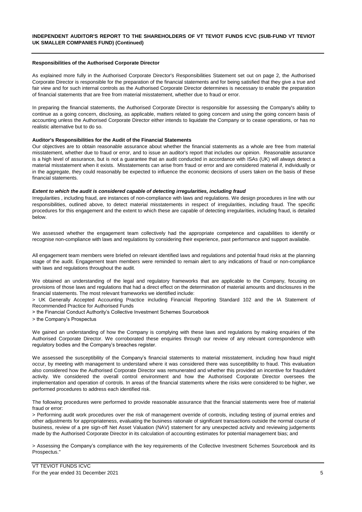### **INDEPENDENT AUDITOR'S REPORT TO THE SHAREHOLDERS OF VT TEVIOT FUNDS ICVC (SUB-FUND VT TEVIOT UK SMALLER COMPANIES FUND) (Continued)**

#### **Responsibilities of the Authorised Corporate Director**

As explained more fully in the Authorised Corporate Director's Responsibilities Statement set out on page 2, the Authorised Corporate Director is responsible for the preparation of the financial statements and for being satisfied that they give a true and fair view and for such internal controls as the Authorised Corporate Director determines is necessary to enable the preparation of financial statements that are free from material misstatement, whether due to fraud or error.

In preparing the financial statements, the Authorised Corporate Director is responsible for assessing the Company's ability to continue as a going concern, disclosing, as applicable, matters related to going concern and using the going concern basis of accounting unless the Authorised Corporate Director either intends to liquidate the Company or to cease operations, or has no realistic alternative but to do so.

#### **Auditor's Responsibilities for the Audit of the Financial Statements**

Our objectives are to obtain reasonable assurance about whether the financial statements as a whole are free from material misstatement, whether due to fraud or error, and to issue an auditor's report that includes our opinion. Reasonable assurance is a high level of assurance, but is not a quarantee that an audit conducted in accordance with ISAs (UK) will always detect a material misstatement when it exists. Misstatements can arise from fraud or error and are considered material if, individually or in the aggregate, they could reasonably be expected to influence the economic decisions of users taken on the basis of these financial statements.

#### *Extent to which the audit is considered capable of detecting irregularities, including fraud*

Irregularities , including fraud, are instances of non-compliance with laws and regulations. We design procedures in line with our responsibilities, outlined above, to detect material misstatements in respect of irregularities, including fraud. The specific procedures for this engagement and the extent to which these are capable of detecting irregularities, including fraud, is detailed below.

We assessed whether the engagement team collectively had the appropriate competence and capabilities to identify or recognise non-compliance with laws and regulations by considering their experience, past performance and support available.

All engagement team members were briefed on relevant identified laws and regulations and potential fraud risks at the planning stage of the audit. Engagement team members were reminded to remain alert to any indications of fraud or non-compliance with laws and regulations throughout the audit.

We obtained an understanding of the legal and regulatory frameworks that are applicable to the Company, focusing on provisions of those laws and regulations that had a direct effect on the determination of material amounts and disclosures in the financial statements. The most relevant frameworks we identified include:

> UK Generally Accepted Accounting Practice including Financial Reporting Standard 102 and the IA Statement of Recommended Practice for Authorised Funds

> the Financial Conduct Authority's Collective Investment Schemes Sourcebook

> the Company's Prospectus

We gained an understanding of how the Company is complying with these laws and regulations by making enquiries of the Authorised Corporate Director. We corroborated these enquiries through our review of any relevant correspondence with regulatory bodies and the Company's breaches register.

We assessed the susceptibility of the Company's financial statements to material misstatement, including how fraud might occur, by meeting with management to understand where it was considered there was susceptibility to fraud. This evaluation also considered how the Authorised Corporate Director was remunerated and whether this provided an incentive for fraudulent activity. We considered the overall control environment and how the Authorised Corporate Director oversees the implementation and operation of controls. In areas of the financial statements where the risks were considered to be higher, we performed procedures to address each identified risk.

The following procedures were performed to provide reasonable assurance that the financial statements were free of material fraud or error:

> Performing audit work procedures over the risk of management override of controls, including testing of journal entries and other adjustments for appropriateness, evaluating the business rationale of significant transactions outside the normal course of business, review of a pre sign-off Net Asset Valuation (NAV) statement for any unexpected activity and reviewing judgements made by the Authorised Corporate Director in its calculation of accounting estimates for potential management bias; and

> Assessing the Company's compliance with the key requirements of the Collective Investment Schemes Sourcebook and its Prospectus."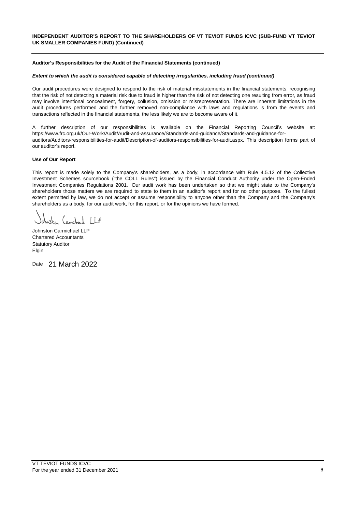### **INDEPENDENT AUDITOR'S REPORT TO THE SHAREHOLDERS OF VT TEVIOT FUNDS ICVC (SUB-FUND VT TEVIOT UK SMALLER COMPANIES FUND) (Continued)**

#### **Auditor's Responsibilities for the Audit of the Financial Statements (continued)**

#### *Extent to which the audit is considered capable of detecting irregularities, including fraud (continued)*

Our audit procedures were designed to respond to the risk of material misstatements in the financial statements, recognising that the risk of not detecting a material risk due to fraud is higher than the risk of not detecting one resulting from error, as fraud may involve intentional concealment, forgery, collusion, omission or misrepresentation. There are inherent limitations in the audit procedures performed and the further removed non-compliance with laws and regulations is from the events and transactions reflected in the financial statements, the less likely we are to become aware of it.

A further description of our responsibilities is available on the Financial Reporting Council's website at: https://www.frc.org.uk/Our-Work/Audit/Audit-and-assurance/Standards-and-guidance/Standards-and-guidance-forauditors/Auditors-responsibilities-for-audit/Description-of-auditors-responsibilities-for-audit.aspx. This description forms part of our auditor's report.

#### **Use of Our Report**

This report is made solely to the Company's shareholders, as a body, in accordance with Rule 4.5.12 of the Collective Investment Schemes sourcebook ("the COLL Rules") issued by the Financial Conduct Authority under the Open-Ended Investment Companies Regulations 2001. Our audit work has been undertaken so that we might state to the Company's shareholders those matters we are required to state to them in an auditor's report and for no other purpose. To the fullest extent permitted by law, we do not accept or assume responsibility to anyone other than the Company and the Company's shareholders as a body, for our audit work, for this report, or for the opinions we have formed.

 $\bigcap$ 

Johnston Carmichael LLP Chartered Accountants Statutory Auditor Elgin

Date 21 March 2022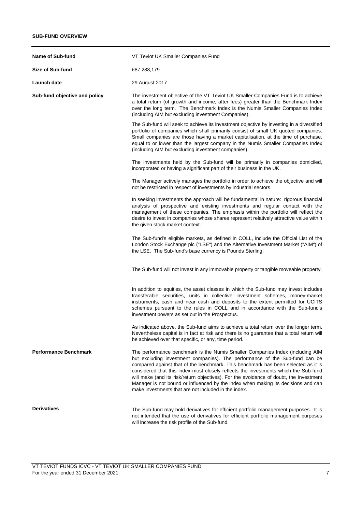## **SUB-FUND OVERVIEW**

| Name of Sub-fund              | VT Teviot UK Smaller Companies Fund                                                                                                                                                                                                                                                                                                                                                                                                                                                                                                                                             |
|-------------------------------|---------------------------------------------------------------------------------------------------------------------------------------------------------------------------------------------------------------------------------------------------------------------------------------------------------------------------------------------------------------------------------------------------------------------------------------------------------------------------------------------------------------------------------------------------------------------------------|
| Size of Sub-fund              | £87,288,179                                                                                                                                                                                                                                                                                                                                                                                                                                                                                                                                                                     |
| Launch date                   | 29 August 2017                                                                                                                                                                                                                                                                                                                                                                                                                                                                                                                                                                  |
| Sub-fund objective and policy | The investment objective of the VT Teviot UK Smaller Companies Fund is to achieve<br>a total return (of growth and income, after fees) greater than the Benchmark Index<br>over the long term. The Benchmark Index is the Numis Smaller Companies Index<br>(including AIM but excluding investment Companies).                                                                                                                                                                                                                                                                  |
|                               | The Sub-fund will seek to achieve its investment objective by investing in a diversified<br>portfolio of companies which shall primarily consist of small UK quoted companies.<br>Small companies are those having a market capitalisation, at the time of purchase,<br>equal to or lower than the largest company in the Numis Smaller Companies Index<br>(including AIM but excluding investment companies).                                                                                                                                                                  |
|                               | The investments held by the Sub-fund will be primarily in companies domiciled,<br>incorporated or having a significant part of their business in the UK.                                                                                                                                                                                                                                                                                                                                                                                                                        |
|                               | The Manager actively manages the portfolio in order to achieve the objective and will<br>not be restricted in respect of investments by industrial sectors.                                                                                                                                                                                                                                                                                                                                                                                                                     |
|                               | In seeking investments the approach will be fundamental in nature: rigorous financial<br>analysis of prospective and existing investments and regular contact with the<br>management of these companies. The emphasis within the portfolio will reflect the<br>desire to invest in companies whose shares represent relatively attractive value within<br>the given stock market context.                                                                                                                                                                                       |
|                               | The Sub-fund's eligible markets, as defined in COLL, include the Official List of the<br>London Stock Exchange plc ("LSE") and the Alternative Investment Market ("AIM") of<br>the LSE. The Sub-fund's base currency is Pounds Sterling.                                                                                                                                                                                                                                                                                                                                        |
|                               | The Sub-fund will not invest in any immovable property or tangible moveable property.                                                                                                                                                                                                                                                                                                                                                                                                                                                                                           |
|                               | In addition to equities, the asset classes in which the Sub-fund may invest includes<br>transferable securities, units in collective investment schemes, money-market<br>instruments, cash and near cash and deposits to the extent permitted for UCITS<br>schemes pursuant to the rules in COLL and in accordance with the Sub-fund's<br>investment powers as set out in the Prospectus.                                                                                                                                                                                       |
|                               | As indicated above, the Sub-fund aims to achieve a total return over the longer term.<br>Nevertheless capital is in fact at risk and there is no guarantee that a total return will<br>be achieved over that specific, or any, time period.                                                                                                                                                                                                                                                                                                                                     |
| <b>Performance Benchmark</b>  | The performance benchmark is the Numis Smaller Companies Index (including AIM<br>but excluding investment companies). The performance of the Sub-fund can be<br>compared against that of the benchmark. This benchmark has been selected as it is<br>considered that this index most closely reflects the investments which the Sub-fund<br>will make (and its risk/return objectives). For the avoidance of doubt, the Investment<br>Manager is not bound or influenced by the index when making its decisions and can<br>make investments that are not included in the index. |
| <b>Derivatives</b>            | The Sub-fund may hold derivatives for efficient portfolio management purposes. It is<br>not intended that the use of derivatives for efficient portfolio management purposes<br>will increase the risk profile of the Sub-fund.                                                                                                                                                                                                                                                                                                                                                 |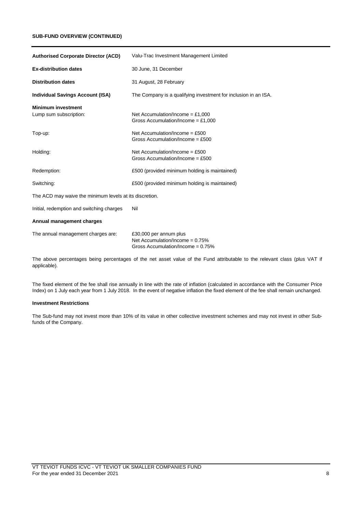## **SUB-FUND OVERVIEW (CONTINUED)**

| <b>Authorised Corporate Director (ACD)</b>              | Valu-Trac Investment Management Limited                                    |
|---------------------------------------------------------|----------------------------------------------------------------------------|
| <b>Ex-distribution dates</b>                            | 30 June, 31 December                                                       |
| <b>Distribution dates</b>                               | 31 August, 28 February                                                     |
| <b>Individual Savings Account (ISA)</b>                 | The Company is a qualifying investment for inclusion in an ISA.            |
| <b>Minimum investment</b><br>Lump sum subscription:     | Net Accumulation/Income = $£1,000$<br>Gross Accumulation/Income = $£1,000$ |
| Top-up:                                                 | Net Accumulation/Income = $£500$<br>Gross Accumulation/Income = $£500$     |
| Holding:                                                | Net Accumulation/Income = $£500$<br>Gross Accumulation/Income = $£500$     |
| Redemption:                                             | £500 (provided minimum holding is maintained)                              |
| Switching:                                              | £500 (provided minimum holding is maintained)                              |
| The ACD may waive the minimum levels at its discretion. |                                                                            |
| Initial, redemption and switching charges               | Nil                                                                        |
| Annual management charges                               |                                                                            |
| The annual management charges are:                      | £30,000 per annum plus                                                     |

Net Accumulation/Income = 0.75% Gross Accumulation/Income = 0.75%

The above percentages being percentages of the net asset value of the Fund attributable to the relevant class (plus VAT if applicable).

The fixed element of the fee shall rise annually in line with the rate of inflation (calculated in accordance with the Consumer Price Index) on 1 July each year from 1 July 2018. In the event of negative inflation the fixed element of the fee shall remain unchanged.

#### **Investment Restrictions**

The Sub-fund may not invest more than 10% of its value in other collective investment schemes and may not invest in other Subfunds of the Company.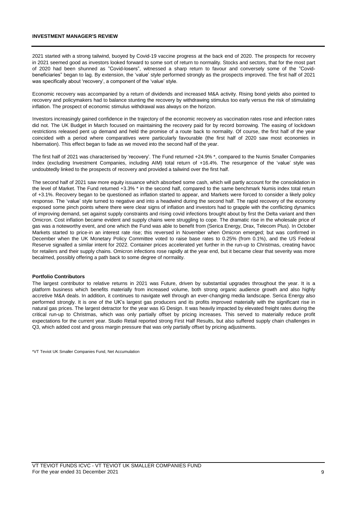### **INVESTMENT MANAGER'S REVIEW**

2021 started with a strong tailwind, buoyed by Covid-19 vaccine progress at the back end of 2020. The prospects for recovery in 2021 seemed good as investors looked forward to some sort of return to normality. Stocks and sectors, that for the most part of 2020 had been shunned as "Covid-losers", witnessed a sharp return to favour and conversely some of the "Covidbeneficiaries" began to lag. By extension, the 'value' style performed strongly as the prospects improved. The first half of 2021 was specifically about 'recovery', a component of the 'value' style.

Economic recovery was accompanied by a return of dividends and increased M&A activity. Rising bond yields also pointed to recovery and policymakers had to balance stunting the recovery by withdrawing stimulus too early versus the risk of stimulating inflation. The prospect of economic stimulus withdrawal was always on the horizon.

Investors increasingly gained confidence in the trajectory of the economic recovery as vaccination rates rose and infection rates did not. The UK Budget in March focused on maintaining the recovery paid for by record borrowing. The easing of lockdown restrictions released pent up demand and held the promise of a route back to normality. Of course, the first half of the year coincided with a period where comparatives were particularly favourable (the first half of 2020 saw most economies in hibernation). This effect began to fade as we moved into the second half of the year.

The first half of 2021 was characterised by 'recovery'. The Fund returned +24.9% \*, compared to the Numis Smaller Companies Index (excluding Investment Companies, including AIM) total return of +16.4%. The resurgence of the 'value' style was undoubtedly linked to the prospects of recovery and provided a tailwind over the first half.

The second half of 2021 saw more equity issuance which absorbed some cash, which will partly account for the consolidation in the level of Market. The Fund returned +3.3% \* in the second half, compared to the same benchmark Numis index total return of +3.1%. Recovery began to be questioned as inflation started to appear, and Markets were forced to consider a likely policy response. The 'value' style turned to negative and into a headwind during the second half. The rapid recovery of the economy exposed some pinch points where there were clear signs of inflation and investors had to grapple with the conflicting dynamics of improving demand, set against supply constraints and rising covid infections brought about by first the Delta variant and then Omicron. Cost inflation became evident and supply chains were struggling to cope. The dramatic rise in the wholesale price of gas was a noteworthy event, and one which the Fund was able to benefit from (Serica Energy, Drax, Telecom Plus). In October Markets started to price-in an interest rate rise; this reversed in November when Omicron emerged; but was confirmed in December when the UK Monetary Policy Committee voted to raise base rates to 0.25% (from 0.1%), and the US Federal Reserve signalled a similar intent for 2022. Container prices accelerated yet further in the run-up to Christmas, creating havoc for retailers and their supply chains. Omicron infections rose rapidly at the year end, but it became clear that severity was more becalmed, possibly offering a path back to some degree of normality.

#### **Portfolio Contributors**

The largest contributor to relative returns in 2021 was Future, driven by substantial upgrades throughout the year. It is a platform business which benefits materially from increased volume, both strong organic audience growth and also highly accretive M&A deals. In addition, it continues to navigate well through an ever-changing media landscape. Serica Energy also performed strongly. It is one of the UK's largest gas producers and its profits improved materially with the significant rise in natural gas prices. The largest detractor for the year was IG Design. It was heavily impacted by elevated freight rates during the critical run-up to Christmas, which was only partially offset by pricing increases. This served to materially reduce profit expectations for the current year. Studio Retail reported strong First Half Results, but also suffered supply chain challenges in Q3, which added cost and gross margin pressure that was only partially offset by pricing adjustments.

\*VT Teviot UK Smaller Companies Fund, Net Accumulation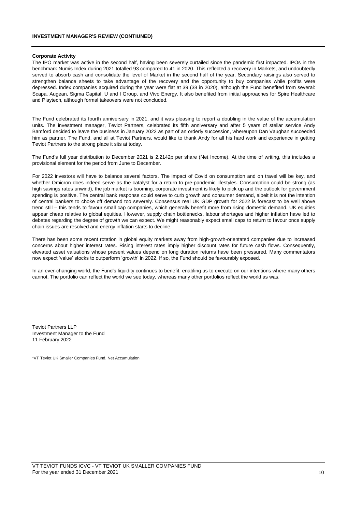#### **INVESTMENT MANAGER'S REVIEW (CONTIUNED)**

#### **Corporate Activity**

The IPO market was active in the second half, having been severely curtailed since the pandemic first impacted. IPOs in the benchmark Numis Index during 2021 totalled 93 compared to 41 in 2020. This reflected a recovery in Markets, and undoubtedly served to absorb cash and consolidate the level of Market in the second half of the year. Secondary raisings also served to strengthen balance sheets to take advantage of the recovery and the opportunity to buy companies while profits were depressed. Index companies acquired during the year were flat at 39 (38 in 2020), although the Fund benefited from several: Scapa, Augean, Sigma Capital, U and I Group, and Vivo Energy. It also benefited from initial approaches for Spire Healthcare and Playtech, although formal takeovers were not concluded.

The Fund celebrated its fourth anniversary in 2021, and it was pleasing to report a doubling in the value of the accumulation units. The investment manager, Teviot Partners, celebrated its fifth anniversary and after 5 years of stellar service Andy Bamford decided to leave the business in January 2022 as part of an orderly succession, whereupon Dan Vaughan succeeded him as partner. The Fund, and all at Teviot Partners, would like to thank Andy for all his hard work and experience in getting Teviot Partners to the strong place it sits at today.

The Fund's full year distribution to December 2021 is 2.2142p per share (Net Income). At the time of writing, this includes a provisional element for the period from June to December.

For 2022 investors will have to balance several factors. The impact of Covid on consumption and on travel will be key, and whether Omicron does indeed serve as the catalyst for a return to pre-pandemic lifestyles. Consumption could be strong (as high savings rates unwind), the job market is booming, corporate investment is likely to pick up and the outlook for government spending is positive. The central bank response could serve to curb growth and consumer demand, albeit it is not the intention of central bankers to choke off demand too severely. Consensus real UK GDP growth for 2022 is forecast to be well above trend still – this tends to favour small cap companies, which generally benefit more from rising domestic demand. UK equities appear cheap relative to global equities. However, supply chain bottlenecks, labour shortages and higher inflation have led to debates regarding the degree of growth we can expect. We might reasonably expect small caps to return to favour once supply chain issues are resolved and energy inflation starts to decline.

There has been some recent rotation in global equity markets away from high-growth-orientated companies due to increased concerns about higher interest rates. Rising interest rates imply higher discount rates for future cash flows. Consequently, elevated asset valuations whose present values depend on long duration returns have been pressured. Many commentators now expect 'value' stocks to outperform 'growth' in 2022. If so, the Fund should be favourably exposed.

In an ever-changing world, the Fund's liquidity continues to benefit, enabling us to execute on our intentions where many others cannot. The portfolio can reflect the world we see today, whereas many other portfolios reflect the world as was.

Teviot Partners LLP Investment Manager to the Fund 11 February 2022

\*VT Teviot UK Smaller Companies Fund, Net Accumulation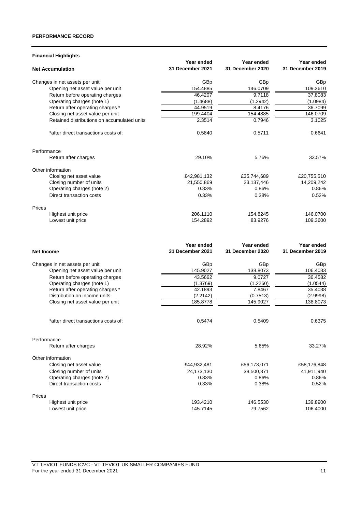### **PERFORMANCE RECORD**

| Year ended<br>Year ended<br>Year ended<br>31 December 2021<br>31 December 2020<br>31 December 2019<br><b>Net Accumulation</b><br>GBp<br>Changes in net assets per unit<br>GBp<br>154.4885<br>146.0709<br>109.3610<br>Opening net asset value per unit<br>46.4207<br>9.7118<br>Return before operating charges<br>37.8083<br>Operating charges (note 1)<br>(1.4688)<br>(1.2942)<br>(1.0984)<br>Return after operating charges *<br>44.9519<br>8.4176<br>36.7099 |     |
|----------------------------------------------------------------------------------------------------------------------------------------------------------------------------------------------------------------------------------------------------------------------------------------------------------------------------------------------------------------------------------------------------------------------------------------------------------------|-----|
|                                                                                                                                                                                                                                                                                                                                                                                                                                                                |     |
|                                                                                                                                                                                                                                                                                                                                                                                                                                                                | GBp |
|                                                                                                                                                                                                                                                                                                                                                                                                                                                                |     |
|                                                                                                                                                                                                                                                                                                                                                                                                                                                                |     |
|                                                                                                                                                                                                                                                                                                                                                                                                                                                                |     |
|                                                                                                                                                                                                                                                                                                                                                                                                                                                                |     |
| Closing net asset value per unit<br>199.4404<br>154.4885<br>146.0709                                                                                                                                                                                                                                                                                                                                                                                           |     |
| 2.3514<br>0.7946<br>3.1025<br>Retained distributions on accumulated units                                                                                                                                                                                                                                                                                                                                                                                      |     |
| *after direct transactions costs of:<br>0.5840<br>0.5711<br>0.6641                                                                                                                                                                                                                                                                                                                                                                                             |     |
| Performance                                                                                                                                                                                                                                                                                                                                                                                                                                                    |     |
| Return after charges<br>29.10%<br>5.76%<br>33.57%                                                                                                                                                                                                                                                                                                                                                                                                              |     |
| Other information                                                                                                                                                                                                                                                                                                                                                                                                                                              |     |
| Closing net asset value<br>£42,981,132<br>£35,744,689<br>£20,755,510                                                                                                                                                                                                                                                                                                                                                                                           |     |
| Closing number of units<br>14,209,242<br>21,550,869<br>23,137,446                                                                                                                                                                                                                                                                                                                                                                                              |     |
| Operating charges (note 2)<br>0.83%<br>0.86%<br>0.86%                                                                                                                                                                                                                                                                                                                                                                                                          |     |
| Direct transaction costs<br>0.33%<br>0.38%<br>0.52%                                                                                                                                                                                                                                                                                                                                                                                                            |     |
| Prices                                                                                                                                                                                                                                                                                                                                                                                                                                                         |     |
| 206.1110<br>154.8245<br>146.0700<br>Highest unit price                                                                                                                                                                                                                                                                                                                                                                                                         |     |
| 83.9276<br>109.3600<br>Lowest unit price<br>154.2892                                                                                                                                                                                                                                                                                                                                                                                                           |     |
|                                                                                                                                                                                                                                                                                                                                                                                                                                                                |     |

|                                      | Year ended       | Year ended       | Year ended       |
|--------------------------------------|------------------|------------------|------------------|
| <b>Net Income</b>                    | 31 December 2021 | 31 December 2020 | 31 December 2019 |
| Changes in net assets per unit       | GBp              | GBp              | GBp              |
| Opening net asset value per unit     | 145.9027         | 138.8073         | 106.4033         |
| Return before operating charges      | 43.5662          | 9.0727           | 36.4582          |
| Operating charges (note 1)           | (1.3769)         | (1.2260)         | (1.0544)         |
| Return after operating charges *     | 42.1893          | 7.8467           | 35.4038          |
| Distribution on income units         | (2.2142)         | (0.7513)         | (2.9998)         |
| Closing net asset value per unit     | 185.8778         | 145.9027         | 138.8073         |
| *after direct transactions costs of: | 0.5474           | 0.5409           | 0.6375           |
| Performance                          |                  |                  |                  |
| Return after charges                 | 28.92%           | 5.65%            | 33.27%           |
| Other information                    |                  |                  |                  |
| Closing net asset value              | £44,932,481      | £56,173,071      | £58,176,848      |
| Closing number of units              | 24,173,130       | 38,500,371       | 41,911,940       |
| Operating charges (note 2)           | 0.83%            | 0.86%            | 0.86%            |
| Direct transaction costs             | 0.33%            | 0.38%            | 0.52%            |
| Prices                               |                  |                  |                  |
| Highest unit price                   | 193.4210         | 146.5530         | 139.8900         |
| Lowest unit price                    | 145.7145         | 79.7562          | 106.4000         |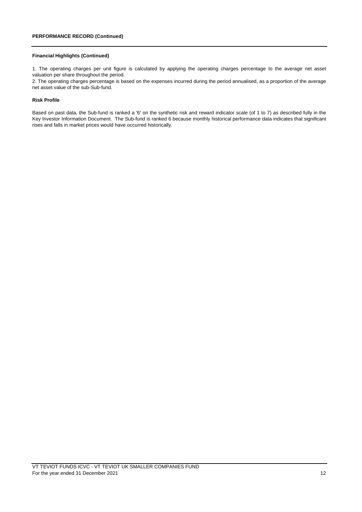#### **Financial Highlights (Continued)**

1. The operating charges per unit figure is calculated by applying the operating charges percentage to the average net asset valuation per share throughout the period.

2. The operating charges percentage is based on the expenses incurred during the period annualised, as a proportion of the average net asset value of the sub-Sub-fund.

#### **Risk Profile**

Based on past data, the Sub-fund is ranked a '6' on the synthetic risk and reward indicator scale (of 1 to 7) as described fully in the Key Investor Information Document. The Sub-fund is ranked 6 because monthly historical performance data indicates that significant rises and falls in market prices would have occurred historically.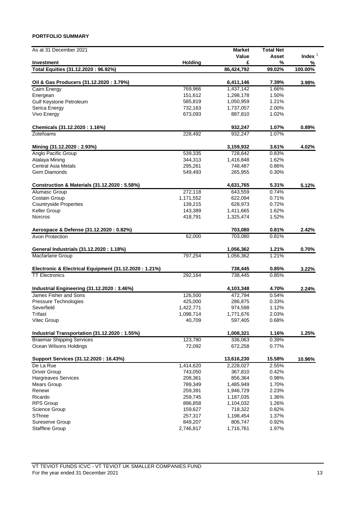## **PORTFOLIO SUMMARY**

| As at 31 December 2021                                 |                      | <b>Market</b><br>Value  | <b>Total Net</b><br>Asset | Index $1$ |
|--------------------------------------------------------|----------------------|-------------------------|---------------------------|-----------|
| Investment                                             | <b>Holding</b>       | £                       | %                         | %         |
| Total Equities (31.12.2020: 96.92%)                    |                      | 86,424,792              | 99.02%                    | 100.00%   |
|                                                        |                      |                         |                           |           |
| Oil & Gas Producers (31.12.2020: 3.79%)                |                      | 6,411,146               | 7.39%                     | 3.98%     |
| Cairn Energy                                           | 769,966              | 1,437,142               | 1.66%                     |           |
| Energean                                               | 151,612              | 1,298,178               | 1.50%                     |           |
| Gulf Keystone Petroleum                                | 585,819              | 1,050,959               | 1.21%                     |           |
| Serica Energy                                          | 732,163              | 1,737,057               | 2.00%                     |           |
| Vivo Energy                                            | 673,093              | 887,810                 | 1.02%                     |           |
| Chemicals (31.12.2020: 1.16%)                          |                      | 932,247                 | 1.07%                     | 0.89%     |
| Zotefoams                                              | 228,492              | 932,247                 | 1.07%                     |           |
|                                                        |                      |                         | 3.61%                     |           |
| Mining (31.12.2020: 2.93%)<br>Anglo Pacific Group      | 539,335              | 3,159,932<br>728,642    | 0.83%                     | 4.02%     |
|                                                        |                      |                         |                           |           |
| Atalaya Mining                                         | 344,313              | 1,416,848               | 1.62%                     |           |
| <b>Central Asia Metals</b>                             | 295,261              | 748,487                 | 0.86%                     |           |
| Gem Diamonds                                           | 549,493              | 265,955                 | 0.30%                     |           |
| Construction & Materials (31.12.2020: 5.58%)           |                      | 4,631,765               | 5.31%                     | 5.12%     |
| <b>Alumasc Group</b>                                   | 272,118              | 643.559                 | 0.74%                     |           |
| Costain Group                                          | 1,171,552            | 622,094                 | 0.71%                     |           |
| <b>Countryside Properties</b>                          | 139,215              | 628,973                 | 0.72%                     |           |
| <b>Keller Group</b>                                    | 143,389              | 1,411,665               | 1.62%                     |           |
| Norcros                                                | 418,791              | 1,325,474               | 1.52%                     |           |
|                                                        |                      |                         |                           |           |
| Aerospace & Defense (31.12.2020 : 0.82%)               |                      | 703,080                 | 0.81%                     | 2.42%     |
| Avon Protection                                        | 62,000               | 703,080                 | 0.81%                     |           |
| General Industrials (31.12.2020: 1.18%)                |                      | 1,056,362               | 1.21%                     | 0.70%     |
| Macfarlane Group                                       | 797,254              | 1,056,362               | 1.21%                     |           |
|                                                        |                      |                         |                           |           |
| Electronic & Electrical Equipment (31.12.2020 : 1.21%) |                      | 738,445                 | 0.85%                     | 3.22%     |
| <b>TT Electronics</b>                                  | 292,164              | 738,445                 | 0.85%                     |           |
| Industrial Engineering (31.12.2020: 3.46%)             |                      | 4,103,348               | 4.70%                     | 2.24%     |
| James Fisher and Sons                                  | 126,500              | 472,794                 | 0.54%                     |           |
| Pressure Technologies                                  | 425,000              | 286,875                 | 0.33%                     |           |
| Severfield                                             | 1,422,771            | 974,598                 | 1.12%                     |           |
| Trifast                                                | 1,098,714            | 1,771,676               | 2.03%                     |           |
| Vitec Group                                            | 40,709               | 597,405                 | 0.68%                     |           |
| Industrial Transportation (31.12.2020: 1.55%)          |                      | 1,008,321               | 1.16%                     | 1.25%     |
| <b>Braemar Shipping Services</b>                       | 123,780              | 336,063                 |                           |           |
| Ocean Wilsons Holdings                                 | 72,092               | 672,258                 | 0.39%<br>0.77%            |           |
|                                                        |                      |                         |                           |           |
| Support Services (31.12.2020: 16.43%)<br>De La Rue     |                      | 13,616,230<br>2,228,027 | 15.58%<br>2.55%           | 10.96%    |
| <b>Driver Group</b>                                    | 1,414,620<br>743,050 | 367,810                 | 0.42%                     |           |
|                                                        |                      |                         |                           |           |
| Hargreaves Services                                    | 208,361              | 856,364                 | 0.98%                     |           |
| <b>Mears Group</b>                                     | 789,349              | 1,485,949               | 1.70%                     |           |
| Renewi                                                 | 259,391              | 1,946,729               | 2.23%                     |           |
| Ricardo                                                | 259,745              | 1,187,035               | 1.36%                     |           |
| RPS Group                                              | 896,858              | 1,104,032               | 1.26%                     |           |
| Science Group                                          | 159,627              | 718,322                 | 0.82%                     |           |
| SThree                                                 | 257,317              | 1,198,454               | 1.37%                     |           |
| Sureserve Group                                        | 849,207              | 806,747                 | 0.92%                     |           |
| <b>Staffline Group</b>                                 | 2,746,817            | 1,716,761               | 1.97%                     |           |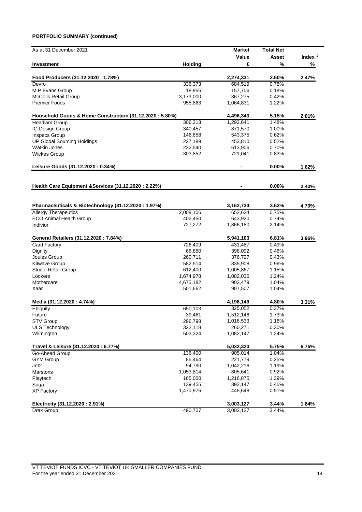## **PORTFOLIO SUMMARY (continued)**

| As at 31 December 2021                                  |                | <b>Market</b> | <b>Total Net</b> |           |
|---------------------------------------------------------|----------------|---------------|------------------|-----------|
|                                                         |                | Value         | Asset            | Index $1$ |
| Investment                                              | <b>Holding</b> | £             | %                | %         |
| Food Producers (31.12.2020: 1.78%)                      |                | 2,274,331     | 2.60%            | 2.47%     |
| Devro                                                   | 336,373        | 684,519       | 0.78%            |           |
| M P Evans Group                                         | 18,955         | 157,706       | 0.18%            |           |
| McColls Retail Group                                    | 3,173,000      | 367,275       | 0.42%            |           |
| <b>Premier Foods</b>                                    | 955,863        | 1,064,831     | 1.22%            |           |
| Household Goods & Home Construction (31.12.2020: 5.80%) |                | 4,496,343     | 5.15%            | 2.01%     |
| Headlam Group                                           | 306,313        | 1.292.641     | 1.48%            |           |
| IG Design Group                                         | 340,457        | 871,570       | 1.00%            |           |
| Inspecs Group                                           | 146,858        | 543,375       | 0.62%            |           |
| <b>UP Global Sourcing Holdings</b>                      | 227,189        | 453,810       | 0.52%            |           |
| <b>Watkin Jones</b>                                     | 232,540        | 613,906       | 0.70%            |           |
| <b>Wickes Group</b>                                     | 303,852        | 721,041       | 0.83%            |           |
| Leisure Goods (31.12.2020: 0.34%)                       |                |               | 0.00%            | 1.62%     |
|                                                         |                |               |                  |           |
| Health Care Equipment & Services (31.12.2020: 2.22%)    |                |               | 0.00%            | 2.40%     |
|                                                         |                |               |                  |           |
| Pharmaceuticals & Biotechnology (31.12.2020: 1.97%)     |                | 3,162,734     | 3.63%            | 4.70%     |
| <b>Allergy Therapeutics</b>                             | 2,008,106      | 652,634       | 0.75%            |           |
| <b>ECO Animal Health Group</b>                          | 402,450        | 643,920       | 0.74%            |           |
| Indivior                                                | 727,272        | 1,866,180     | 2.14%            |           |
| General Retailers (31.12.2020: 7.84%)                   |                | 5,941,103     | 6.81%            | 3.96%     |
| Card Factory                                            | 726,409        | 431,487       | 0.49%            |           |
| Dignity                                                 | 66,850         | 398,092       | 0.46%            |           |
| Joules Group                                            | 260,711        | 376,727       | 0.43%            |           |
| <b>Kitwave Group</b>                                    | 582,514        | 835,908       | 0.96%            |           |
| Studio Retail Group                                     | 612,400        | 1,005,867     | 1.15%            |           |
| Lookers                                                 | 1,674,978      | 1,082,036     | 1.24%            |           |
| Mothercare                                              | 4,675,182      | 903,479       | 1.04%            |           |
| Xaar                                                    | 501,662        | 907,507       | 1.04%            |           |
| Media (31.12.2020: 4.74%)                               |                | 4,196,149     | 4.80%            | 3.31%     |
| Ebiquity                                                | 650,103        | 325,052       | 0.37%            |           |
| Future                                                  | 39,461         | 1,512,146     | 1.73%            |           |
| STV Group                                               | 296,798        | 1,016,533     | 1.16%            |           |
| <b>ULS Technology</b>                                   | 322,118        | 260,271       | 0.30%            |           |
| Wilmington                                              | 503,324        | 1,082,147     | 1.24%            |           |
| Travel & Leisure (31.12.2020 : 6.77%)                   |                | 5,032,320     | 5.75%            | 6.76%     |
| Go-Ahead Group                                          | 136,400        | 905,014       | 1.04%            |           |
| <b>GYM Group</b>                                        | 85,464         | 221,779       | 0.25%            |           |
| Jet <sub>2</sub>                                        | 94,790         | 1,042,216     | 1.19%            |           |
| Marstons                                                | 1,053,814      | 805,641       | 0.92%            |           |
| Playtech                                                | 165,000        | 1,216,875     | 1.39%            |           |
| Saga                                                    | 139,455        | 392,147       | 0.45%            |           |
| <b>XP Factory</b>                                       | 1,470,976      | 448,648       | 0.51%            |           |
|                                                         |                |               |                  |           |
| Electricity (31.12.2020: 2.91%)                         |                | 3,003,127     | 3.44%            | 1.84%     |
| Drax Group                                              | 490,707        | 3,003,127     | 3.44%            |           |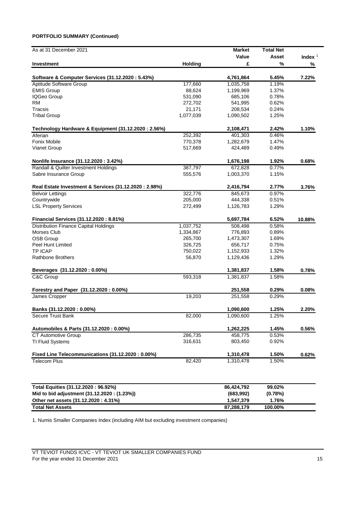## **PORTFOLIO SUMMARY (Continued)**

| As at 31 December 2021                                 |                | <b>Market</b> | <b>Total Net</b> |           |
|--------------------------------------------------------|----------------|---------------|------------------|-----------|
|                                                        |                | Value         | <b>Asset</b>     | Index $1$ |
| Investment                                             | <b>Holding</b> | £             | %                | %         |
| Software & Computer Services (31.12.2020: 5.43%)       |                | 4,761,864     | 5.45%            | 7.22%     |
| Aptitude Software Group                                | 177,660        | 1,035,758     | 1.19%            |           |
| <b>EMIS Group</b>                                      | 88,624         | 1,199,969     | 1.37%            |           |
| IQGeo Group                                            | 531,090        | 685,106       | 0.78%            |           |
| RM                                                     | 272,702        | 541,995       | 0.62%            |           |
| Tracsis                                                | 21,171         | 208,534       | 0.24%            |           |
| <b>Tribal Group</b>                                    | 1,077,039      | 1,090,502     | 1.25%            |           |
| Technology Hardware & Equipment (31.12.2020: 2.56%)    |                | 2,108,471     | 2.42%            | 1.10%     |
| Aferian                                                | 252,392        | 401,303       | 0.46%            |           |
| Fonix Mobile                                           | 770,378        | 1,282,679     | 1.47%            |           |
| Vianet Group                                           | 517,669        | 424,489       | 0.49%            |           |
| Nonlife Insurance (31.12.2020: 3.42%)                  |                | 1,676,198     | 1.92%            | 0.68%     |
| Randall & Quilter Investment Holdings                  | 387,797        | 672,828       | 0.77%            |           |
| Sabre Insurance Group                                  | 555,576        | 1,003,370     | 1.15%            |           |
| Real Estate Investment & Services (31.12.2020 : 2.98%) |                | 2,416,794     | 2.77%            | 3.76%     |
| <b>Belvoir Lettings</b>                                | 322,776        | 845,673       | 0.97%            |           |
| Countrywide                                            | 205,000        | 444,338       | 0.51%            |           |
| <b>LSL Property Services</b>                           | 272,499        | 1,126,783     | 1.29%            |           |
| Financial Services (31.12.2020: 8.81%)                 |                | 5,697,784     | 6.52%            | 10.88%    |
| Distribution Finance Capital Holdings                  | 1,037,752      | 508,498       | 0.58%            |           |
| Morses Club                                            | 1,334,867      | 776,893       | 0.89%            |           |
| <b>OSB Group</b>                                       | 265,700        | 1,473,307     | 1.69%            |           |
| Peel Hunt Limited                                      | 326,725        | 656,717       | 0.75%            |           |
| <b>TP ICAP</b>                                         | 750,022        | 1,152,933     | 1.32%            |           |
| <b>Rathbone Brothers</b>                               | 56,870         | 1,129,436     | 1.29%            |           |
| Beverages (31.12.2020: 0.00%)                          |                | 1,381,837     | 1.58%            | 0.78%     |
| C&C Group                                              | 593,318        | 1,381,837     | 1.58%            |           |
| Forestry and Paper (31.12.2020: 0.00%)                 |                | 251,558       | 0.29%            | 0.08%     |
| James Cropper                                          | 19,203         | 251,558       | 0.29%            |           |
| Banks (31.12.2020: 0.00%)                              |                | 1,090,600     | 1.25%            | 2.20%     |
| Secure Trust Bank                                      | 82,000         | 1,090,600     | 1.25%            |           |
| Automobiles & Parts (31.12.2020 : 0.00%)               |                | 1,262,225     | 1.45%            | 0.56%     |
| CT Automotive Group                                    | 286,735        | 458,775       | 0.53%            |           |
| TI Fluid Systems                                       | 316,631        | 803,450       | 0.92%            |           |
| Fixed Line Telecommunications (31.12.2020: 0.00%)      |                | 1,310,478     | 1.50%            | 0.62%     |
| <b>Telecom Plus</b>                                    | 82,420         | 1,310,478     | 1.50%            |           |
|                                                        |                |               |                  |           |
| $T_{\text{old}}$ $T_{\text{equil}}$                    |                | 00.494.709    | 00.001           |           |

| Total Equities (31.12.2020: 96.92%)          | 86.424.792 | 99.02%     |  |
|----------------------------------------------|------------|------------|--|
| Mid to bid adjustment (31.12.2020 : (1.23%)) | (683.992)  | $(0.78\%)$ |  |
| Other net assets (31.12.2020 : 4.31%)        | 1.547.379  | 1.76%      |  |
| <b>Total Net Assets</b>                      | 87.288.179 | 100.00%    |  |

1. Numis Smaller Companies Index (including AIM but excluding investment companies)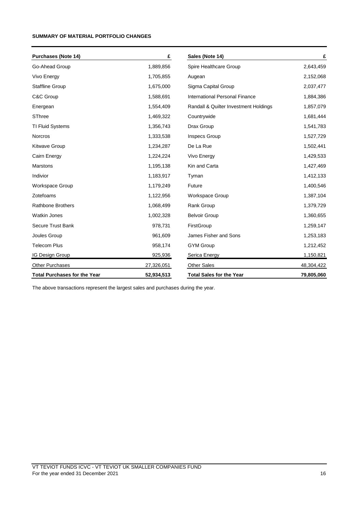## **SUMMARY OF MATERIAL PORTFOLIO CHANGES**

| <b>Purchases (Note 14)</b>          | £          | Sales (Note 14)                       | £          |
|-------------------------------------|------------|---------------------------------------|------------|
| Go-Ahead Group                      | 1,889,856  | Spire Healthcare Group                | 2,643,459  |
| Vivo Energy                         | 1,705,855  | Augean                                | 2,152,068  |
| <b>Staffline Group</b>              | 1,675,000  | Sigma Capital Group                   | 2,037,477  |
| C&C Group                           | 1,588,691  | International Personal Finance        | 1,884,386  |
| Energean                            | 1,554,409  | Randall & Quilter Investment Holdings | 1,857,079  |
| SThree                              | 1,469,322  | Countrywide                           | 1,681,444  |
| TI Fluid Systems                    | 1,356,743  | Drax Group                            | 1,541,783  |
| Norcros                             | 1,333,538  | <b>Inspecs Group</b>                  | 1,527,729  |
| <b>Kitwave Group</b>                | 1,234,287  | De La Rue                             | 1,502,441  |
| Cairn Energy                        | 1,224,224  | Vivo Energy                           | 1,429,533  |
| <b>Marstons</b>                     | 1,195,138  | Kin and Carta                         | 1,427,469  |
| Indivior                            | 1,183,917  | Tyman                                 | 1,412,133  |
| <b>Workspace Group</b>              | 1,179,249  | Future                                | 1,400,546  |
| Zotefoams                           | 1,122,956  | <b>Workspace Group</b>                | 1,387,104  |
| <b>Rathbone Brothers</b>            | 1,068,499  | Rank Group                            | 1,379,729  |
| <b>Watkin Jones</b>                 | 1,002,328  | <b>Belvoir Group</b>                  | 1,360,655  |
| Secure Trust Bank                   | 978,731    | FirstGroup                            | 1,259,147  |
| Joules Group                        | 961,609    | James Fisher and Sons                 | 1,253,183  |
| <b>Telecom Plus</b>                 | 958,174    | <b>GYM Group</b>                      | 1,212,452  |
| IG Design Group                     | 925,936    | Serica Energy                         | 1,150,821  |
| Other Purchases                     | 27,326,051 | <b>Other Sales</b>                    | 48,304,422 |
| <b>Total Purchases for the Year</b> | 52,934,513 | <b>Total Sales for the Year</b>       | 79,805,060 |

The above transactions represent the largest sales and purchases during the year.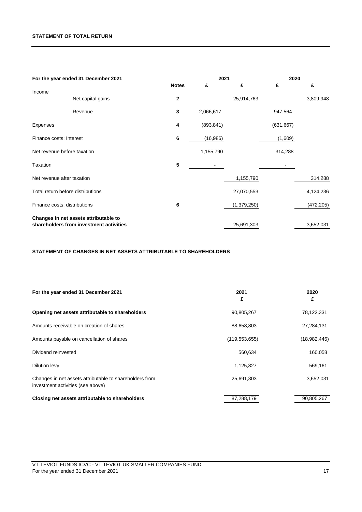### **STATEMENT OF TOTAL RETURN**

|                              | For the year ended 31 December 2021                                              |              | 2021       |             | 2020       |            |
|------------------------------|----------------------------------------------------------------------------------|--------------|------------|-------------|------------|------------|
|                              |                                                                                  | <b>Notes</b> | £          | £           | £          | £          |
| Income                       | Net capital gains                                                                | $\mathbf 2$  |            | 25,914,763  |            | 3,809,948  |
|                              | Revenue                                                                          | 3            | 2,066,617  |             | 947,564    |            |
| Expenses                     |                                                                                  | 4            | (893, 841) |             | (631, 667) |            |
| Finance costs: Interest      |                                                                                  | 6            | (16,986)   |             | (1,609)    |            |
| Net revenue before taxation  |                                                                                  |              | 1,155,790  |             | 314,288    |            |
| <b>Taxation</b>              |                                                                                  | 5            |            |             |            |            |
| Net revenue after taxation   |                                                                                  |              |            | 1,155,790   |            | 314,288    |
|                              | Total return before distributions                                                |              |            | 27,070,553  |            | 4,124,236  |
| Finance costs: distributions |                                                                                  | 6            |            | (1,379,250) |            | (472, 205) |
|                              | Changes in net assets attributable to<br>shareholders from investment activities |              |            |             |            |            |
|                              |                                                                                  |              |            | 25,691,303  |            | 3,652,031  |

## **STATEMENT OF CHANGES IN NET ASSETS ATTRIBUTABLE TO SHAREHOLDERS**

| For the year ended 31 December 2021                                                          | 2021<br>£       | 2020<br>£    |
|----------------------------------------------------------------------------------------------|-----------------|--------------|
| Opening net assets attributable to shareholders                                              | 90,805,267      | 78,122,331   |
| Amounts receivable on creation of shares                                                     | 88,658,803      | 27,284,131   |
| Amounts payable on cancellation of shares                                                    | (119, 553, 655) | (18,982,445) |
| Dividend reinvested                                                                          | 560.634         | 160,058      |
| Dilution levy                                                                                | 1,125,827       | 569,161      |
| Changes in net assets attributable to shareholders from<br>investment activities (see above) | 25,691,303      | 3,652,031    |
| Closing net assets attributable to shareholders                                              | 87,288,179      | 90,805,267   |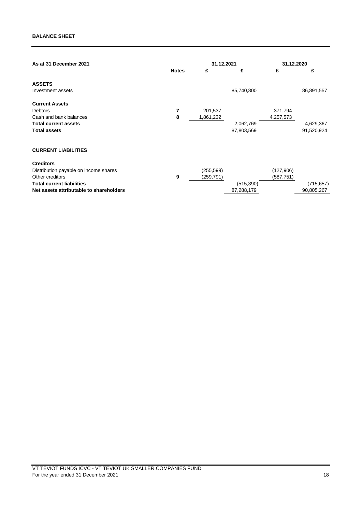| As at 31 December 2021                  |              | 31.12.2021 |            | 31.12.2020 |            |
|-----------------------------------------|--------------|------------|------------|------------|------------|
|                                         | <b>Notes</b> | £          | £          | £          | £          |
| <b>ASSETS</b>                           |              |            |            |            |            |
| Investment assets                       |              |            | 85,740,800 |            | 86,891,557 |
| <b>Current Assets</b>                   |              |            |            |            |            |
| <b>Debtors</b>                          | 7            | 201,537    |            | 371,794    |            |
| Cash and bank balances                  | 8            | 1,861,232  |            | 4,257,573  |            |
| <b>Total current assets</b>             |              |            | 2,062,769  |            | 4,629,367  |
| <b>Total assets</b>                     |              |            | 87,803,569 |            | 91,520,924 |
| <b>CURRENT LIABILITIES</b>              |              |            |            |            |            |
| <b>Creditors</b>                        |              |            |            |            |            |
| Distribution payable on income shares   |              | (255, 599) |            | (127,906)  |            |
| Other creditors                         | 9            | (259,791)  |            | (587, 751) |            |
| <b>Total current liabilities</b>        |              |            | (515, 390) |            | (715, 657) |
| Net assets attributable to shareholders |              |            | 87,288,179 |            | 90,805,267 |
|                                         |              |            |            |            |            |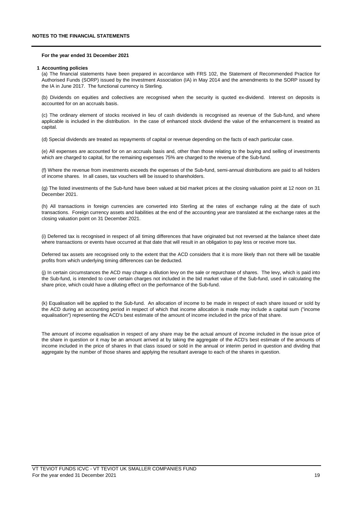#### **For the year ended 31 December 2021**

#### **1 Accounting policies**

(a) The financial statements have been prepared in accordance with FRS 102, the Statement of Recommended Practice for Authorised Funds (SORP) issued by the Investment Association (IA) in May 2014 and the amendments to the SORP issued by the IA in June 2017. The functional currency is Sterling.

(b) Dividends on equities and collectives are recognised when the security is quoted ex-dividend. Interest on deposits is accounted for on an accruals basis.

(c) The ordinary element of stocks received in lieu of cash dividends is recognised as revenue of the Sub-fund, and where applicable is included in the distribution. In the case of enhanced stock dividend the value of the enhancement is treated as capital.

(d) Special dividends are treated as repayments of capital or revenue depending on the facts of each particular case.

(e) All expenses are accounted for on an accruals basis and, other than those relating to the buying and selling of investments which are charged to capital, for the remaining expenses 75% are charged to the revenue of the Sub-fund.

(f) Where the revenue from investments exceeds the expenses of the Sub-fund, semi-annual distributions are paid to all holders of income shares. In all cases, tax vouchers will be issued to shareholders.

(g) The listed investments of the Sub-fund have been valued at bid market prices at the closing valuation point at 12 noon on 31 December 2021.

(h) All transactions in foreign currencies are converted into Sterling at the rates of exchange ruling at the date of such transactions. Foreign currency assets and liabilities at the end of the accounting year are translated at the exchange rates at the closing valuation point on 31 December 2021.

(i) Deferred tax is recognised in respect of all timing differences that have originated but not reversed at the balance sheet date where transactions or events have occurred at that date that will result in an obligation to pay less or receive more tax.

Deferred tax assets are recognised only to the extent that the ACD considers that it is more likely than not there will be taxable profits from which underlying timing differences can be deducted.

(j) In certain circumstances the ACD may charge a dilution levy on the sale or repurchase of shares. The levy, which is paid into the Sub-fund, is intended to cover certain charges not included in the bid market value of the Sub-fund, used in calculating the share price, which could have a diluting effect on the performance of the Sub-fund.

(k) Equalisation will be applied to the Sub-fund. An allocation of income to be made in respect of each share issued or sold by the ACD during an accounting period in respect of which that income allocation is made may include a capital sum ("income equalisation") representing the ACD's best estimate of the amount of income included in the price of that share.

The amount of income equalisation in respect of any share may be the actual amount of income included in the issue price of the share in question or it may be an amount arrived at by taking the aggregate of the ACD's best estimate of the amounts of income included in the price of shares in that class issued or sold in the annual or interim period in question and dividing that aggregate by the number of those shares and applying the resultant average to each of the shares in question.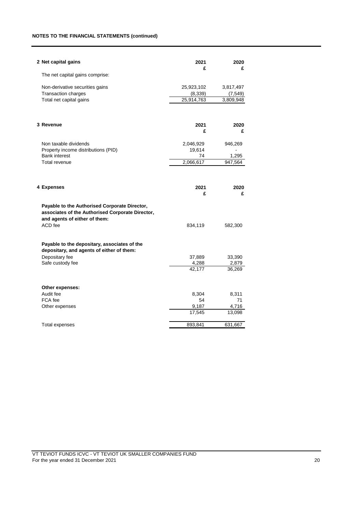## **NOTES TO THE FINANCIAL STATEMENTS (continued)**

| 2 Net capital gains                                                                                                                | 2021<br>£             | 2020<br>£             |
|------------------------------------------------------------------------------------------------------------------------------------|-----------------------|-----------------------|
| The net capital gains comprise:                                                                                                    |                       |                       |
| Non-derivative securities gains                                                                                                    | 25,923,102            | 3,817,497             |
| <b>Transaction charges</b><br>Total net capital gains                                                                              | (8,339)<br>25,914,763 | (7, 549)<br>3,809,948 |
|                                                                                                                                    |                       |                       |
| 3 Revenue                                                                                                                          | 2021<br>£             | 2020<br>£             |
| Non taxable dividends                                                                                                              | 2,046,929             | 946,269               |
| Property income distributions (PID)<br><b>Bank interest</b>                                                                        | 19,614<br>74          | 1,295                 |
| Total revenue                                                                                                                      | 2,066,617             | 947,564               |
|                                                                                                                                    |                       |                       |
| 4 Expenses                                                                                                                         | 2021<br>£             | 2020<br>£             |
| Payable to the Authorised Corporate Director,<br>associates of the Authorised Corporate Director,<br>and agents of either of them: |                       |                       |
| ACD fee                                                                                                                            | 834,119               | 582,300               |
| Payable to the depositary, associates of the<br>depositary, and agents of either of them:                                          |                       |                       |
| Depositary fee                                                                                                                     | 37,889                | 33,390                |
| Safe custody fee                                                                                                                   | 4,288<br>42,177       | 2,879<br>36,269       |
|                                                                                                                                    |                       |                       |
| Other expenses:<br>Audit fee                                                                                                       | 8,304                 | 8,311                 |
| FCA fee                                                                                                                            | 54                    | 71                    |
| Other expenses                                                                                                                     | 9,187                 | 4,716                 |
|                                                                                                                                    | 17,545                | 13,098                |
| Total expenses                                                                                                                     | 893,841               | 631,667               |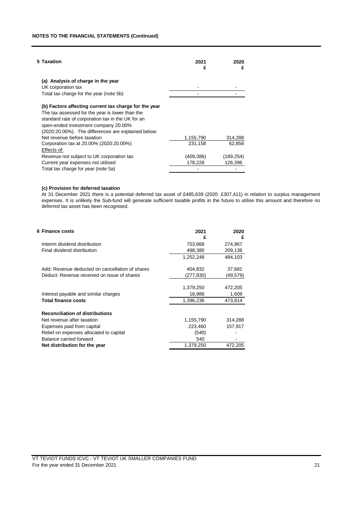| 5 Taxation                                            | 2021<br>£ | 2020<br>£ |
|-------------------------------------------------------|-----------|-----------|
| (a) Analysis of charge in the year                    |           |           |
| UK corporation tax                                    |           |           |
| Total tax charge for the year (note 5b)               |           |           |
| (b) Factors affecting current tax charge for the year |           |           |
| The tax assessed for the year is lower than the       |           |           |
| standard rate of corporation tax in the UK for an     |           |           |
| open-ended investment company 20.00%                  |           |           |
| (2020:20.00%). The differences are explained below:   |           |           |
| Net revenue before taxation                           | 1,155,790 | 314,288   |
| Corporation tax at 20.00% (2020:20.00%)               | 231,158   | 62,858    |
| Effects of:                                           |           |           |
| Revenue not subject to UK corporation tax             | (409,386) | (189,254) |
| Current year expenses not utilised                    | 178,228   | 126,396   |
| Total tax charge for year (note 5a)                   |           |           |
|                                                       |           |           |

## **(c) Provision for deferred taxation**

At 31 December 2021 there is a potential deferred tax asset of £485,639 (2020: £307,411) in relation to surplus management expenses. It is unlikely the Sub-fund will generate sufficient taxable profits in the future to utilise this amount and therefore no deferred tax asset has been recognised.

| 6 Finance costs                                 | 2021<br>£ | 2020<br>£ |
|-------------------------------------------------|-----------|-----------|
| Interim dividend distribution                   | 753,868   | 274,967   |
| Final dividend distribution                     | 498,380   | 209,136   |
|                                                 | 1.252.248 | 484.103   |
| Add: Revenue deducted on cancellation of shares | 404,832   | 37,681    |
| Deduct: Revenue received on issue of shares     | (277,830) | (49,579)  |
|                                                 | 1,379,250 | 472,205   |
| Interest payable and similar charges            | 16,986    | 1,609     |
| <b>Total finance costs</b>                      | 1,396,236 | 473,814   |
| <b>Reconciliation of distributions</b>          |           |           |
| Net revenue after taxation                      | 1,155,790 | 314,288   |
| Expenses paid from capital                      | 223,460   | 157,917   |
| Relief on expenses allocated to capital         | (540)     |           |
| Balance carried forward                         | 540       |           |
| Net distribution for the year                   | 1,379,250 | 472,205   |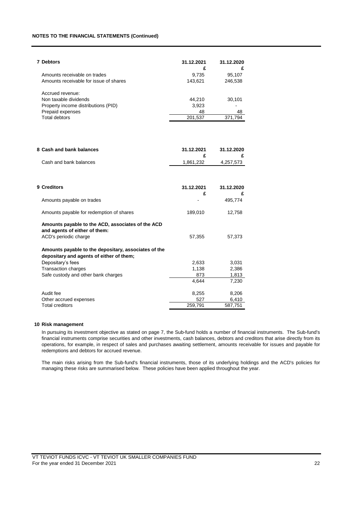## **NOTES TO THE FINANCIAL STATEMENTS (Continued)**

| <b>7 Debtors</b>                                     | 31.12.2021<br>£ | 31.12.2020<br>£  |
|------------------------------------------------------|-----------------|------------------|
| Amounts receivable on trades                         | 9.735           | 95,107           |
| Amounts receivable for issue of shares               | 143,621         | 246,538          |
| Accrued revenue:                                     |                 |                  |
| Non taxable dividends                                | 44,210          | 30,101           |
| Property income distributions (PID)                  | 3,923           |                  |
| Prepaid expenses                                     | 48              | 48               |
| <b>Total debtors</b>                                 | 201,537         | 371,794          |
|                                                      |                 |                  |
| 8 Cash and bank balances                             | 31.12.2021<br>£ | 31.12.2020<br>£  |
| Cash and bank balances                               | 1,861,232       | 4,257,573        |
|                                                      |                 |                  |
| 9 Creditors                                          |                 |                  |
|                                                      | 31.12.2021<br>£ | 31.12.2020<br>£  |
| Amounts payable on trades                            |                 | 495,774          |
| Amounts payable for redemption of shares             | 189,010         | 12,758           |
| Amounts payable to the ACD, associates of the ACD    |                 |                  |
| and agents of either of them:                        |                 |                  |
| ACD's periodic charge                                | 57,355          | 57,373           |
| Amounts payable to the depositary, associates of the |                 |                  |
| depositary and agents of either of them;             |                 |                  |
| Depositary's fees                                    | 2,633           | 3,031            |
| Transaction charges                                  | 1,138<br>873    | 2,386            |
| Safe custody and other bank charges                  | 4,644           | 1,813<br>7,230   |
| Audit fee                                            | 8,255           | 8,206            |
| Other accrued expenses                               | 527             | 6,410<br>587,751 |

#### **10 Risk management**

In pursuing its investment objective as stated on page 7, the Sub-fund holds a number of financial instruments. The Sub-fund's financial instruments comprise securities and other investments, cash balances, debtors and creditors that arise directly from its operations, for example, in respect of sales and purchases awaiting settlement, amounts receivable for issues and payable for redemptions and debtors for accrued revenue.

The main risks arising from the Sub-fund's financial instruments, those of its underlying holdings and the ACD's policies for managing these risks are summarised below. These policies have been applied throughout the year.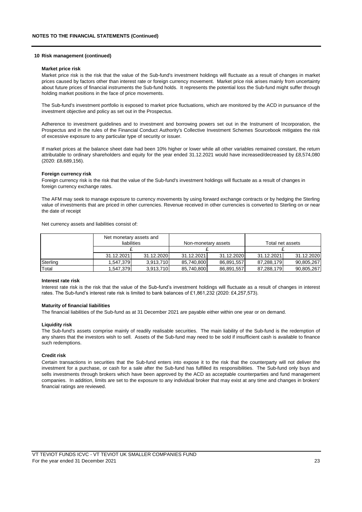#### **10 Risk management (continued)**

#### **Market price risk**

Market price risk is the risk that the value of the Sub-fund's investment holdings will fluctuate as a result of changes in market prices caused by factors other than interest rate or foreign currency movement. Market price risk arises mainly from uncertainty about future prices of financial instruments the Sub-fund holds. It represents the potential loss the Sub-fund might suffer through holding market positions in the face of price movements.

The Sub-fund's investment portfolio is exposed to market price fluctuations, which are monitored by the ACD in pursuance of the investment objective and policy as set out in the Prospectus.

Adherence to investment guidelines and to investment and borrowing powers set out in the Instrument of Incorporation, the Prospectus and in the rules of the Financial Conduct Authority's Collective Investment Schemes Sourcebook mitigates the risk of excessive exposure to any particular type of security or issuer.

If market prices at the balance sheet date had been 10% higher or lower while all other variables remained constant, the return attributable to ordinary shareholders and equity for the year ended 31.12.2021 would have increased/decreased by £8,574,080 (2020: £8,689,156).

#### **Foreign currency risk**

Foreign currency risk is the risk that the value of the Sub-fund's investment holdings will fluctuate as a result of changes in foreign currency exchange rates.

The AFM may seek to manage exposure to currency movements by using forward exchange contracts or by hedging the Sterling value of investments that are priced in other currencies. Revenue received in other currencies is converted to Sterling on or near the date of receipt

Net currency assets and liabilities consist of:

|          | Net monetary assets and<br>liabilities |            |            | Non-monetary assets | Total net assets |            |
|----------|----------------------------------------|------------|------------|---------------------|------------------|------------|
|          |                                        |            |            |                     |                  |            |
|          | 31.12.2021                             | 31.12.2020 | 31.12.2021 | 31.12.2020          | 31.12.2021       | 31.12.2020 |
| Sterling | 1.547.3791                             | 3,913,710  | 85.740.800 | 86,891,557          | 87,288,179       | 90,805,267 |
| Total    | ا 547,379. ا                           | 3,913,710  | 85,740,800 | 86,891,557          | 87,288,179       | 90,805,267 |

#### **Interest rate risk**

Interest rate risk is the risk that the value of the Sub-fund's investment holdings will fluctuate as a result of changes in interest rates. The Sub-fund's interest rate risk is limited to bank balances of £1,861,232 (2020: £4,257,573).

#### **Maturity of financial liabilities**

The financial liabilities of the Sub-fund as at 31 December 2021 are payable either within one year or on demand.

#### **Liquidity risk**

The Sub-fund's assets comprise mainly of readily realisable securities. The main liability of the Sub-fund is the redemption of any shares that the investors wish to sell. Assets of the Sub-fund may need to be sold if insufficient cash is available to finance such redemptions.

#### **Credit risk**

Certain transactions in securities that the Sub-fund enters into expose it to the risk that the counterparty will not deliver the investment for a purchase, or cash for a sale after the Sub-fund has fulfilled its responsibilities. The Sub-fund only buys and sells investments through brokers which have been approved by the ACD as acceptable counterparties and fund management companies. In addition, limits are set to the exposure to any individual broker that may exist at any time and changes in brokers' financial ratings are reviewed.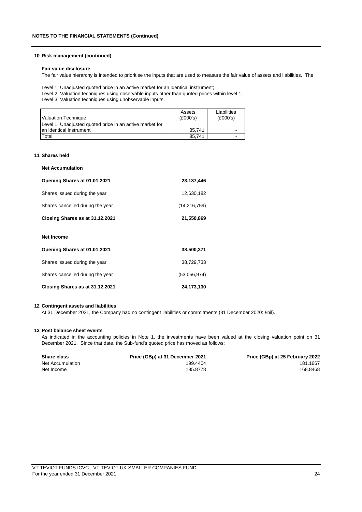#### **10 Risk management (continued)**

#### **Fair value disclosure**

The fair value hierarchy is intended to prioritise the inputs that are used to measure the fair value of assets and liabilities. The

Level 1: Unadjusted quoted price in an active market for an identical instrument;

Level 2: Valuation techniques using observable inputs other than quoted prices within level 1;

Level 3: Valuation techniques using unobservable inputs.

| l Valuation Technique                                    | Assets<br>(E000's) | Liabilities<br>(E000's)  |
|----------------------------------------------------------|--------------------|--------------------------|
| Level 1: Unadjusted quoted price in an active market for |                    |                          |
| Ian identical instrument                                 | 85.741             | $\overline{\phantom{0}}$ |
| Total                                                    | 85.741             | $\overline{\phantom{a}}$ |

#### **11 Shares held**

**Net Accumulation**

| Opening Shares at 01.01.2021     | 23,137,446     |
|----------------------------------|----------------|
| Shares issued during the year    | 12,630,182     |
| Shares cancelled during the year | (14, 216, 759) |
| Closing Shares as at 31.12.2021  | 21,550,869     |
| <b>Net Income</b>                |                |
| Opening Shares at 01.01.2021     | 38,500,371     |
| Shares issued during the year    | 38,729,733     |
| Shares cancelled during the year | (53,056,974)   |
| Closing Shares as at 31.12.2021  | 24,173,130     |

#### **12 Contingent assets and liabilities**

At 31 December 2021, the Company had no contingent liabilities or commitments (31 December 2020: £nil).

#### **13 Post balance sheet events**

As indicated in the accounting policies in Note 1. the investments have been valued at the closing valuation point on 31 December 2021. Since that date, the Sub-fund's quoted price has moved as follows:

| <b>Share class</b> | Price (GBp) at 31 December 2021 | Price (GBp) at 25 February 2022 |
|--------------------|---------------------------------|---------------------------------|
| Net Accumulation   | 199.4404                        | 181.1667                        |
| Net Income         | 185.8778                        | 168.8468                        |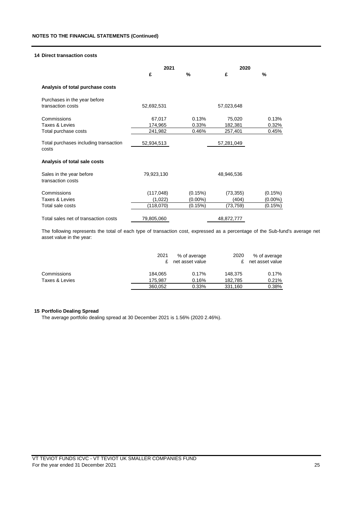#### **14 Direct transaction costs**

|                                                | 2021       |            | 2020       |            |
|------------------------------------------------|------------|------------|------------|------------|
|                                                | £          | %          | £          | %          |
| Analysis of total purchase costs               |            |            |            |            |
| Purchases in the year before                   |            |            |            |            |
| transaction costs                              | 52,692,531 |            | 57,023,648 |            |
| Commissions                                    | 67,017     | 0.13%      | 75,020     | 0.13%      |
| Taxes & Levies                                 | 174,965    | 0.33%      | 182,381    | 0.32%      |
| Total purchase costs                           | 241,982    | 0.46%      | 257,401    | 0.45%      |
| Total purchases including transaction<br>costs | 52,934,513 |            | 57,281,049 |            |
| Analysis of total sale costs                   |            |            |            |            |
| Sales in the year before<br>transaction costs  | 79,923,130 |            | 48,946,536 |            |
| Commissions                                    | (117, 048) | (0.15%)    | (73, 355)  | (0.15%)    |
| Taxes & Levies                                 | (1,022)    | $(0.00\%)$ | (404)      | $(0.00\%)$ |
| Total sale costs                               | (118,070)  | (0.15%)    | (73,759)   | (0.15%)    |
| Total sales net of transaction costs           | 79,805,060 |            | 48,872,777 |            |

The following represents the total of each type of transaction cost, expressed as a percentage of the Sub-fund's average net asset value in the year:

|                | 2021    | % of average<br>net asset value | 2020<br>£ | % of average<br>net asset value |
|----------------|---------|---------------------------------|-----------|---------------------------------|
| Commissions    | 184.065 | 0.17%                           | 148.375   | 0.17%                           |
| Taxes & Levies | 175.987 | 0.16%                           | 182.785   | 0.21%                           |
|                | 360,052 | 0.33%                           | 331.160   | 0.38%                           |

## **15 Portfolio Dealing Spread**

The average portfolio dealing spread at 30 December 2021 is 1.56% (2020 2.46%).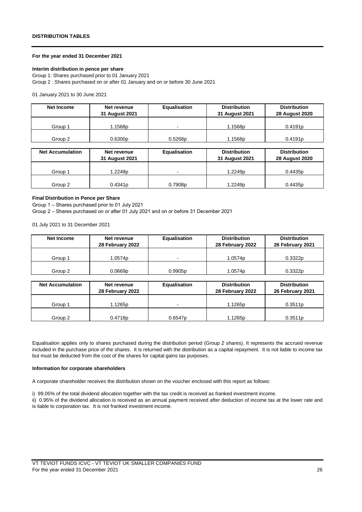#### **For the year ended 31 December 2021**

## **Interim distribution in pence per share**

Group 1: Shares purchased prior to 01 January 2021 Group 2 : Shares purchased on or after 01 January and on or before 30 June 2021

01 January 2021 to 30 June 2021

| Net Income | Net revenue<br>31 August 2021 | <b>Equalisation</b> | <b>Distribution</b><br>31 August 2021 | <b>Distribution</b><br><b>28 August 2020</b> |
|------------|-------------------------------|---------------------|---------------------------------------|----------------------------------------------|
| Group 1    | 1.1568p                       |                     | l.1568p                               | 0.4191p                                      |
| Group 2    | 0.6300p                       | 0.5268p             | 1568p                                 | 0.4191p                                      |

| <b>Net Accumulation</b> | Net revenue<br>31 August 2021 | <b>Equalisation</b> | <b>Distribution</b><br>31 August 2021 | <b>Distribution</b><br><b>28 August 2020</b> |
|-------------------------|-------------------------------|---------------------|---------------------------------------|----------------------------------------------|
| Group 1                 | l.2249p                       | -                   | 1.2249p                               | 0.4435p                                      |
| Group 2                 | 0.4341p                       | 0.7908p             | 1.2249p                               | 0.4435p                                      |

### **Final Distribution in Pence per Share**

Group 1 – Shares purchased prior to 01 July 2021

Group 2 – Shares purchased on or after 01 July 2021 and on or before 31 December 2021

01 July 2021 to 31 December 2021

| Net Income | Net revenue<br>28 February 2022 | <b>Equalisation</b><br><b>Distribution</b><br>28 February 2022 |         | <b>Distribution</b><br>26 February 2021 |
|------------|---------------------------------|----------------------------------------------------------------|---------|-----------------------------------------|
| Group 1    | l.0574p                         | $\overline{\phantom{0}}$                                       | 1.0574p | 0.3322p                                 |
| Group 2    | 0.0669p                         | 0.9905 <sub>p</sub>                                            | 1.0574p | 0.3322p                                 |

| <b>Net Accumulation</b> | Net revenue<br>28 February 2022 | Equalisation        | <b>Distribution</b><br>28 February 2022 | <b>Distribution</b><br>26 February 2021 |
|-------------------------|---------------------------------|---------------------|-----------------------------------------|-----------------------------------------|
| Group 1                 | l.1265p                         | -                   | 1.1265 <sub>p</sub>                     | 0.3511 <sub>p</sub>                     |
| Group 2                 | 0.4718p                         | 0.6547 <sub>p</sub> | 1.1265p                                 | 0.3511 <sub>p</sub>                     |

Equalisation applies only to shares purchased during the distribution period (Group 2 shares). It represents the accrued revenue included in the purchase price of the shares. It is returned with the distribution as a capital repayment. It is not liable to income tax but must be deducted from the cost of the shares for capital gains tax purposes.

#### **Information for corporate shareholders**

A corporate shareholder receives the distribution shown on the voucher enclosed with this report as follows:

i) 99.05% of the total dividend allocation together with the tax credit is received as franked investment income.

ii) 0.95% of the dividend allocation is received as an annual payment received after deduction of income tax at the lower rate and is liable to corporation tax. It is not franked investment income.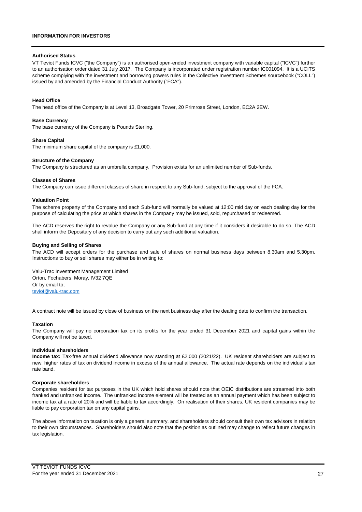## **INFORMATION FOR INVESTORS**

#### **Authorised Status**

VT Teviot Funds ICVC ("the Company") is an authorised open-ended investment company with variable capital ("ICVC") further to an authorisation order dated 31 July 2017. The Company is incorporated under registration number IC001094. It is a UCITS scheme complying with the investment and borrowing powers rules in the Collective Investment Schemes sourcebook ("COLL") issued by and amended by the Financial Conduct Authority ("FCA").

#### **Head Office**

The head office of the Company is at Level 13, Broadgate Tower, 20 Primrose Street, London, EC2A 2EW.

#### **Base Currency**

The base currency of the Company is Pounds Sterling.

#### **Share Capital**

The minimum share capital of the company is £1,000.

#### **Structure of the Company**

The Company is structured as an umbrella company. Provision exists for an unlimited number of Sub-funds.

### **Classes of Shares**

The Company can issue different classes of share in respect to any Sub-fund, subject to the approval of the FCA.

#### **Valuation Point**

The scheme property of the Company and each Sub-fund will normally be valued at 12:00 mid day on each dealing day for the purpose of calculating the price at which shares in the Company may be issued, sold, repurchased or redeemed.

The ACD reserves the right to revalue the Company or any Sub-fund at any time if it considers it desirable to do so, The ACD shall inform the Depositary of any decision to carry out any such additional valuation.

#### **Buying and Selling of Shares**

The ACD will accept orders for the purchase and sale of shares on normal business days between 8.30am and 5.30pm. Instructions to buy or sell shares may either be in writing to:

Valu-Trac Investment Management Limited Orton, Fochabers, Moray, IV32 7QE Or by email to; [teviot@valu-trac.com](mailto:teviot@valu-trac.com)

A contract note will be issued by close of business on the next business day after the dealing date to confirm the transaction.

#### **Taxation**

The Company will pay no corporation tax on its profits for the year ended 31 December 2021 and capital gains within the Company will not be taxed.

#### **Individual shareholders**

**Income tax:** Tax-free annual dividend allowance now standing at £2,000 (2021/22). UK resident shareholders are subject to new, higher rates of tax on dividend income in excess of the annual allowance. The actual rate depends on the individual's tax rate band.

#### **Corporate shareholders**

Companies resident for tax purposes in the UK which hold shares should note that OEIC distributions are streamed into both franked and unfranked income. The unfranked income element will be treated as an annual payment which has been subject to income tax at a rate of 20% and will be liable to tax accordingly. On realisation of their shares, UK resident companies may be liable to pay corporation tax on any capital gains.

The above information on taxation is only a general summary, and shareholders should consult their own tax advisors in relation to their own circumstances. Shareholders should also note that the position as outlined may change to reflect future changes in tax legislation.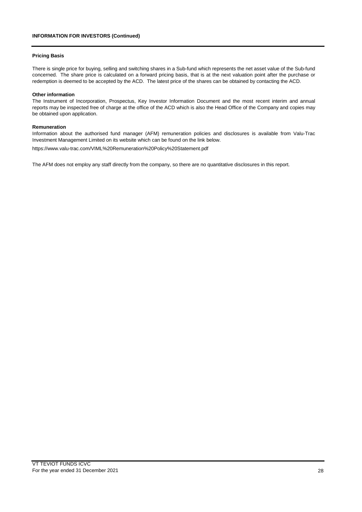### **Pricing Basis**

There is single price for buying, selling and switching shares in a Sub-fund which represents the net asset value of the Sub-fund concerned. The share price is calculated on a forward pricing basis, that is at the next valuation point after the purchase or redemption is deemed to be accepted by the ACD. The latest price of the shares can be obtained by contacting the ACD.

#### **Other information**

The Instrument of Incorporation, Prospectus, Key Investor Information Document and the most recent interim and annual reports may be inspected free of charge at the office of the ACD which is also the Head Office of the Company and copies may be obtained upon application.

#### **Remuneration**

Information about the authorised fund manager (AFM) remuneration policies and disclosures is available from Valu-Trac Investment Management Limited on its website which can be found on the link below.

[https://www.valu-trac.com/VIML%20Remuneration%20Policy%20Statement.pdf](https://www.valu-trac.com/VIML Remuneration Policy Statement.pdf)

The AFM does not employ any staff directly from the company, so there are no quantitative disclosures in this report.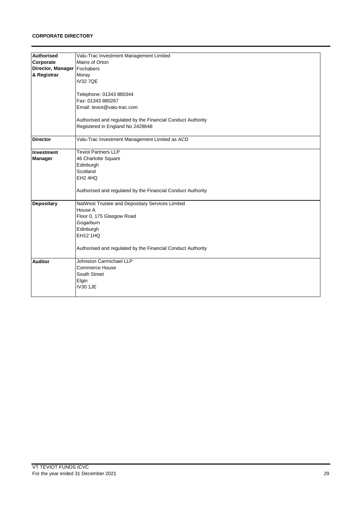## **CORPORATE DIRECTORY**

| Valu-Trac Investment Management Limited<br><b>Authorised</b><br>Mains of Orton<br>Corporate<br>Director, Manager Fochabers<br>& Registrar<br>Moray<br><b>IV327QE</b><br>Telephone: 01343 880344<br>Fax: 01343 880267<br>Email: teviot@valu-trac.com<br>Authorised and regulated by the Financial Conduct Authority<br>Registered in England No 2428648<br>Valu-Trac Investment Management Limited as ACD<br><b>Director</b><br><b>Teviot Partners LLP</b><br>Investment<br>46 Charlotte Square<br><b>Manager</b> |
|------------------------------------------------------------------------------------------------------------------------------------------------------------------------------------------------------------------------------------------------------------------------------------------------------------------------------------------------------------------------------------------------------------------------------------------------------------------------------------------------------------------|
|                                                                                                                                                                                                                                                                                                                                                                                                                                                                                                                  |
|                                                                                                                                                                                                                                                                                                                                                                                                                                                                                                                  |
|                                                                                                                                                                                                                                                                                                                                                                                                                                                                                                                  |
|                                                                                                                                                                                                                                                                                                                                                                                                                                                                                                                  |
|                                                                                                                                                                                                                                                                                                                                                                                                                                                                                                                  |
|                                                                                                                                                                                                                                                                                                                                                                                                                                                                                                                  |
|                                                                                                                                                                                                                                                                                                                                                                                                                                                                                                                  |
|                                                                                                                                                                                                                                                                                                                                                                                                                                                                                                                  |
|                                                                                                                                                                                                                                                                                                                                                                                                                                                                                                                  |
|                                                                                                                                                                                                                                                                                                                                                                                                                                                                                                                  |
|                                                                                                                                                                                                                                                                                                                                                                                                                                                                                                                  |
|                                                                                                                                                                                                                                                                                                                                                                                                                                                                                                                  |
|                                                                                                                                                                                                                                                                                                                                                                                                                                                                                                                  |
|                                                                                                                                                                                                                                                                                                                                                                                                                                                                                                                  |
|                                                                                                                                                                                                                                                                                                                                                                                                                                                                                                                  |
|                                                                                                                                                                                                                                                                                                                                                                                                                                                                                                                  |
|                                                                                                                                                                                                                                                                                                                                                                                                                                                                                                                  |
| Edinburgh                                                                                                                                                                                                                                                                                                                                                                                                                                                                                                        |
| Scotland                                                                                                                                                                                                                                                                                                                                                                                                                                                                                                         |
| EH <sub>2</sub> 4HQ                                                                                                                                                                                                                                                                                                                                                                                                                                                                                              |
|                                                                                                                                                                                                                                                                                                                                                                                                                                                                                                                  |
| Authorised and regulated by the Financial Conduct Authority                                                                                                                                                                                                                                                                                                                                                                                                                                                      |
|                                                                                                                                                                                                                                                                                                                                                                                                                                                                                                                  |
| NatWest Trustee and Depositary Services Limited<br><b>Depositary</b>                                                                                                                                                                                                                                                                                                                                                                                                                                             |
| House A                                                                                                                                                                                                                                                                                                                                                                                                                                                                                                          |
| Floor 0, 175 Glasgow Road                                                                                                                                                                                                                                                                                                                                                                                                                                                                                        |
| Gogarburn                                                                                                                                                                                                                                                                                                                                                                                                                                                                                                        |
| Edinburgh                                                                                                                                                                                                                                                                                                                                                                                                                                                                                                        |
| <b>EH12 1HQ</b>                                                                                                                                                                                                                                                                                                                                                                                                                                                                                                  |
|                                                                                                                                                                                                                                                                                                                                                                                                                                                                                                                  |
| Authorised and regulated by the Financial Conduct Authority                                                                                                                                                                                                                                                                                                                                                                                                                                                      |
|                                                                                                                                                                                                                                                                                                                                                                                                                                                                                                                  |
| Johnston Carmichael LLP<br><b>Auditor</b>                                                                                                                                                                                                                                                                                                                                                                                                                                                                        |
| Commerce House                                                                                                                                                                                                                                                                                                                                                                                                                                                                                                   |
| South Street                                                                                                                                                                                                                                                                                                                                                                                                                                                                                                     |
| Elgin                                                                                                                                                                                                                                                                                                                                                                                                                                                                                                            |
| <b>IV30 1JE</b>                                                                                                                                                                                                                                                                                                                                                                                                                                                                                                  |
|                                                                                                                                                                                                                                                                                                                                                                                                                                                                                                                  |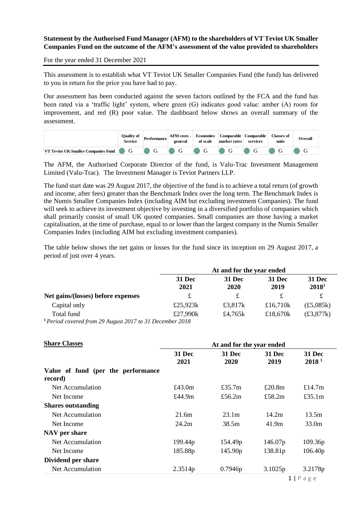## **Statement by the Authorised Fund Manager (AFM) to the shareholders of VT Teviot UK Smaller Companies Fund on the outcome of the AFM's assessment of the value provided to shareholders**

For the year ended 31 December 2021

This assessment is to establish what VT Teviot UK Smaller Companies Fund (the fund) has delivered to you in return for the price you have had to pay.

Our assessment has been conducted against the seven factors outlined by the FCA and the fund has been rated via a 'traffic light' system, where green (G) indicates good value: amber (A) room for improvement, and red (R) poor value. The dashboard below shows an overall summary of the assessment.

|                                                                | Ouality of<br><b>Service</b> | Performance  | AFM costs -<br>general | <b>Economies</b><br>of scale | market rates | Comparable Comparable<br>services | <b>Classes of</b><br>units | Overall |
|----------------------------------------------------------------|------------------------------|--------------|------------------------|------------------------------|--------------|-----------------------------------|----------------------------|---------|
| <b>VT Teviot UK Smaller Companies Fund <math>\Box</math></b> G |                              | $\mathbf{G}$ | $\mathsf{G}$           |                              |              |                                   |                            |         |

The AFM, the Authorised Corporate Director of the fund, is Valu-Trac Investment Management Limited (Valu-Trac). The Investment Manager is Teviot Partners LLP.

The fund start date was 29 August 2017, the objective of the fund is to achieve a total return (of growth and income, after fees) greater than the Benchmark Index over the long term. The Benchmark Index is the Numis Smaller Companies Index (including AIM but excluding investment Companies). The fund will seek to achieve its investment objective by investing in a diversified portfolio of companies which shall primarily consist of small UK quoted companies. Small companies are those having a market capitalisation, at the time of purchase, equal to or lower than the largest company in the Numis Smaller Companies Index (including AIM but excluding investment companies).

The table below shows the net gains or losses for the fund since its inception on 29 August 2017, a period of just over 4 years.

|                                                                     | At and for the year ended |                       |                       |                             |  |  |  |  |
|---------------------------------------------------------------------|---------------------------|-----------------------|-----------------------|-----------------------------|--|--|--|--|
|                                                                     | <b>31 Dec</b><br>2021     | <b>31 Dec</b><br>2020 | <b>31 Dec</b><br>2019 | 31 Dec<br>2018 <sup>1</sup> |  |  |  |  |
| Net gains/(losses) before expenses                                  |                           | £                     |                       |                             |  |  |  |  |
| Capital only                                                        | £25,923 $k$               | £3,817 $k$            | £16.710 $k$           | (E5,085k)                   |  |  |  |  |
| Total fund                                                          | £27,990k                  | £4,765 $k$            | £18,670 $k$           | £3,877k)                    |  |  |  |  |
| <sup>1</sup> Period covered from 29 August 2017 to 31 December 2018 |                           |                       |                       |                             |  |  |  |  |

**<sup>1</sup>***Period covered from 29 August 2017 to 31 December 2018*

| <b>Share Classes</b>               | At and for the year ended |                       |                       |                             |  |  |  |
|------------------------------------|---------------------------|-----------------------|-----------------------|-----------------------------|--|--|--|
|                                    | <b>31 Dec</b><br>2021     | <b>31 Dec</b><br>2020 | <b>31 Dec</b><br>2019 | 31 Dec<br>2018 <sup>1</sup> |  |  |  |
| Value of fund (per the performance |                           |                       |                       |                             |  |  |  |
| record)                            |                           |                       |                       |                             |  |  |  |
| Net Accumulation                   | £43.0 $m$                 | £35.7 $m$             | £20.8m                | £14.7 $m$                   |  |  |  |
| Net Income                         | £44.9 $m$                 | £56.2 $m$             | £58.2 $m$             | £35.1 $m$                   |  |  |  |
| <b>Shares outstanding</b>          |                           |                       |                       |                             |  |  |  |
| Net Accumulation                   | 21.6m                     | 23.1m                 | 14.2m                 | 13.5m                       |  |  |  |
| Net Income                         | 24.2m                     | 38.5m                 | 41.9m                 | 33.0m                       |  |  |  |
| NAV per share                      |                           |                       |                       |                             |  |  |  |
| Net Accumulation                   | 199.44p                   | 154.49p               | 146.07p               | 109.36p                     |  |  |  |
| Net Income                         | 185.88p                   | 145.90p               | 138.81p               | 106.40 <sub>p</sub>         |  |  |  |
| Dividend per share                 |                           |                       |                       |                             |  |  |  |
| Net Accumulation                   | 2.3514p                   | 0.7946p               | 3.1025p               | 3.2178p                     |  |  |  |
|                                    |                           |                       |                       | $1 \nvert \nvert$           |  |  |  |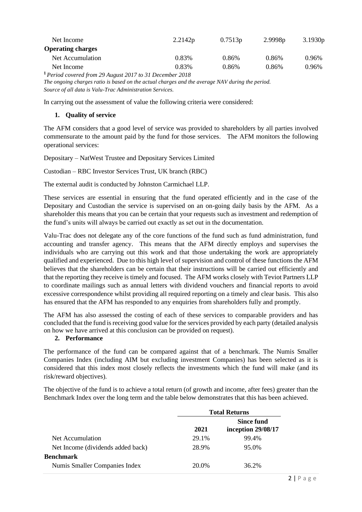| Net Income                                                          | 2.2142p | 0.7513p | 2.9998p | 3.1930 <sub>p</sub> |
|---------------------------------------------------------------------|---------|---------|---------|---------------------|
| <b>Operating charges</b>                                            |         |         |         |                     |
| Net Accumulation                                                    | 0.83%   | 0.86%   | 0.86%   | 0.96%               |
| Net Income                                                          | 0.83%   | 0.86%   | 0.86%   | 0.96%               |
| $\mathbf{r}$ . $\mathbf{r}$<br>$\sim$ $\sim$<br>$0.017 \times 0.15$ | 2010    |         |         |                     |

**<sup>1</sup>***Period covered from 29 August 2017 to 31 December 2018*

*The ongoing charges ratio is based on the actual charges and the average NAV during the period. Source of all data is Valu-Trac Administration Services.*

In carrying out the assessment of value the following criteria were considered:

## **1. Quality of service**

The AFM considers that a good level of service was provided to shareholders by all parties involved commensurate to the amount paid by the fund for those services. The AFM monitors the following operational services:

Depositary – NatWest Trustee and Depositary Services Limited

Custodian – RBC Investor Services Trust, UK branch (RBC)

The external audit is conducted by Johnston Carmichael LLP.

These services are essential in ensuring that the fund operated efficiently and in the case of the Depositary and Custodian the service is supervised on an on-going daily basis by the AFM. As a shareholder this means that you can be certain that your requests such as investment and redemption of the fund's units will always be carried out exactly as set out in the documentation.

Valu-Trac does not delegate any of the core functions of the fund such as fund administration, fund accounting and transfer agency. This means that the AFM directly employs and supervises the individuals who are carrying out this work and that those undertaking the work are appropriately qualified and experienced. Due to this high level of supervision and control of these functions the AFM believes that the shareholders can be certain that their instructions will be carried out efficiently and that the reporting they receive is timely and focused. The AFM works closely with Teviot Partners LLP to coordinate mailings such as annual letters with dividend vouchers and financial reports to avoid excessive correspondence whilst providing all required reporting on a timely and clear basis. This also has ensured that the AFM has responded to any enquiries from shareholders fully and promptly.

The AFM has also assessed the costing of each of these services to comparable providers and has concluded that the fund is receiving good value for the services provided by each party (detailed analysis on how we have arrived at this conclusion can be provided on request).

## **2. Performance**

The performance of the fund can be compared against that of a benchmark. The Numis Smaller Companies Index (including AIM but excluding investment Companies) has been selected as it is considered that this index most closely reflects the investments which the fund will make (and its risk/reward objectives).

The objective of the fund is to achieve a total return (of growth and income, after fees) greater than the Benchmark Index over the long term and the table below demonstrates that this has been achieved.

|                                   |       | <b>Total Returns</b>             |
|-----------------------------------|-------|----------------------------------|
|                                   | 2021  | Since fund<br>inception 29/08/17 |
| Net Accumulation                  | 29.1% | 99.4%                            |
| Net Income (dividends added back) | 28.9% | 95.0%                            |
| <b>Benchmark</b>                  |       |                                  |
| Numis Smaller Companies Index     | 20.0% | 36.2%                            |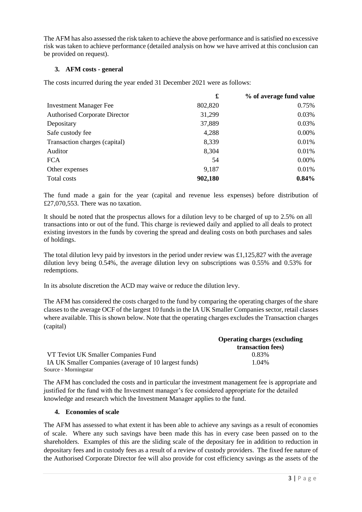The AFM has also assessed the risk taken to achieve the above performance and is satisfied no excessive risk was taken to achieve performance (detailed analysis on how we have arrived at this conclusion can be provided on request).

## **3. AFM costs - general**

The costs incurred during the year ended 31 December 2021 were as follows:

|                                      | £       | % of average fund value |
|--------------------------------------|---------|-------------------------|
| <b>Investment Manager Fee</b>        | 802,820 | 0.75%                   |
| <b>Authorised Corporate Director</b> | 31,299  | 0.03%                   |
| Depositary                           | 37,889  | 0.03%                   |
| Safe custody fee                     | 4,288   | $0.00\%$                |
| Transaction charges (capital)        | 8,339   | 0.01%                   |
| Auditor                              | 8,304   | 0.01%                   |
| <b>FCA</b>                           | 54      | 0.00%                   |
| Other expenses                       | 9,187   | 0.01%                   |
| Total costs                          | 902,180 | $0.84\%$                |

The fund made a gain for the year (capital and revenue less expenses) before distribution of £27,070,553. There was no taxation.

It should be noted that the prospectus allows for a dilution levy to be charged of up to 2.5% on all transactions into or out of the fund. This charge is reviewed daily and applied to all deals to protect existing investors in the funds by covering the spread and dealing costs on both purchases and sales of holdings.

The total dilution levy paid by investors in the period under review was £1,125,827 with the average dilution levy being 0.54%, the average dilution levy on subscriptions was 0.55% and 0.53% for redemptions.

In its absolute discretion the ACD may waive or reduce the dilution levy.

The AFM has considered the costs charged to the fund by comparing the operating charges of the share classes to the average OCF of the largest 10 funds in the IA UK Smaller Companies sector, retail classes where available. This is shown below. Note that the operating charges excludes the Transaction charges (capital)

|                                                       | <b>Operating charges (excluding)</b> |
|-------------------------------------------------------|--------------------------------------|
|                                                       | transaction fees)                    |
| VT Teviot UK Smaller Companies Fund                   | 0.83%                                |
| IA UK Smaller Companies (average of 10 largest funds) | 1.04%                                |
| Source - Morningstar                                  |                                      |

The AFM has concluded the costs and in particular the investment management fee is appropriate and justified for the fund with the Investment manager's fee considered appropriate for the detailed knowledge and research which the Investment Manager applies to the fund.

## **4. Economies of scale**

The AFM has assessed to what extent it has been able to achieve any savings as a result of economies of scale. Where any such savings have been made this has in every case been passed on to the shareholders. Examples of this are the sliding scale of the depositary fee in addition to reduction in depositary fees and in custody fees as a result of a review of custody providers. The fixed fee nature of the Authorised Corporate Director fee will also provide for cost efficiency savings as the assets of the